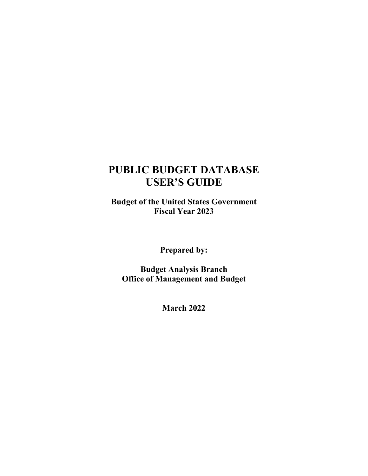## **PUBLIC BUDGET DATABASE USER'S GUIDE**

**Budget of the United States Government Fiscal Year 2023**

**Prepared by:**

**Budget Analysis Branch Office of Management and Budget**

**March 2022**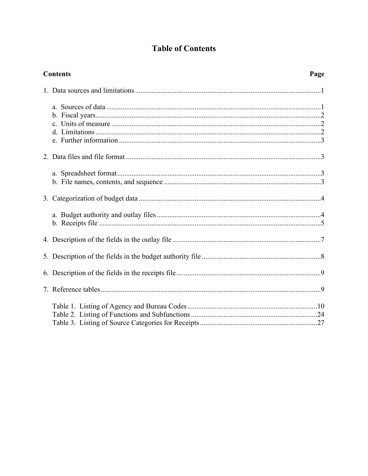## **Table of Contents**

| <b>Contents</b><br>Page |
|-------------------------|
|                         |
|                         |
|                         |
|                         |
|                         |
|                         |
|                         |
|                         |
|                         |
|                         |
|                         |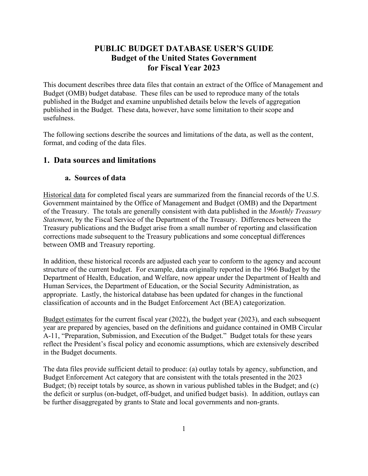## **PUBLIC BUDGET DATABASE USER'S GUIDE Budget of the United States Government for Fiscal Year 2023**

<span id="page-2-0"></span>This document describes three data files that contain an extract of the Office of Management and Budget (OMB) budget database. These files can be used to reproduce many of the totals published in the Budget and examine unpublished details below the levels of aggregation published in the Budget. These data, however, have some limitation to their scope and usefulness.

The following sections describe the sources and limitations of the data, as well as the content, format, and coding of the data files.

#### **1. Data sources and limitations**

#### **a. Sources of data**

Historical data for completed fiscal years are summarized from the financial records of the U.S. Government maintained by the Office of Management and Budget (OMB) and the Department of the Treasury. The totals are generally consistent with data published in the *Monthly Treasury Statement*, by the Fiscal Service of the Department of the Treasury. Differences between the Treasury publications and the Budget arise from a small number of reporting and classification corrections made subsequent to the Treasury publications and some conceptual differences between OMB and Treasury reporting.

In addition, these historical records are adjusted each year to conform to the agency and account structure of the current budget. For example, data originally reported in the 1966 Budget by the Department of Health, Education, and Welfare, now appear under the Department of Health and Human Services, the Department of Education, or the Social Security Administration, as appropriate. Lastly, the historical database has been updated for changes in the functional classification of accounts and in the Budget Enforcement Act (BEA) categorization.

Budget estimates for the current fiscal year (2022), the budget year (2023), and each subsequent year are prepared by agencies, based on the definitions and guidance contained in OMB Circular A-11, "Preparation, Submission, and Execution of the Budget." Budget totals for these years reflect the President's fiscal policy and economic assumptions, which are extensively described in the Budget documents.

The data files provide sufficient detail to produce: (a) outlay totals by agency, subfunction, and Budget Enforcement Act category that are consistent with the totals presented in the 2023 Budget; (b) receipt totals by source, as shown in various published tables in the Budget; and (c) the deficit or surplus (on-budget, off-budget, and unified budget basis). In addition, outlays can be further disaggregated by grants to State and local governments and non-grants.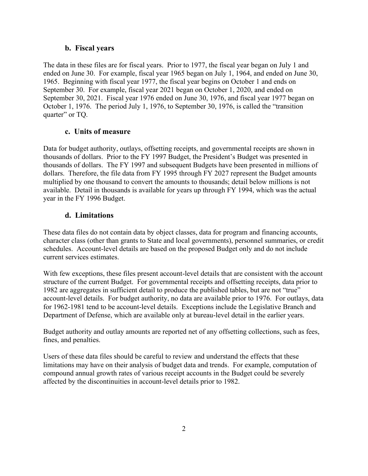#### **b. Fiscal years**

<span id="page-3-0"></span>The data in these files are for fiscal years. Prior to 1977, the fiscal year began on July 1 and ended on June 30. For example, fiscal year 1965 began on July 1, 1964, and ended on June 30, 1965. Beginning with fiscal year 1977, the fiscal year begins on October 1 and ends on September 30. For example, fiscal year 2021 began on October 1, 2020, and ended on September 30, 2021. Fiscal year 1976 ended on June 30, 1976, and fiscal year 1977 began on October 1, 1976. The period July 1, 1976, to September 30, 1976, is called the "transition quarter" or TQ.

#### **c. Units of measure**

Data for budget authority, outlays, offsetting receipts, and governmental receipts are shown in thousands of dollars. Prior to the FY 1997 Budget, the President's Budget was presented in thousands of dollars. The FY 1997 and subsequent Budgets have been presented in millions of dollars. Therefore, the file data from FY 1995 through FY 2027 represent the Budget amounts multiplied by one thousand to convert the amounts to thousands; detail below millions is not available. Detail in thousands is available for years up through FY 1994, which was the actual year in the FY 1996 Budget.

#### **d. Limitations**

These data files do not contain data by object classes, data for program and financing accounts, character class (other than grants to State and local governments), personnel summaries, or credit schedules. Account-level details are based on the proposed Budget only and do not include current services estimates.

With few exceptions, these files present account-level details that are consistent with the account structure of the current Budget. For governmental receipts and offsetting receipts, data prior to 1982 are aggregates in sufficient detail to produce the published tables, but are not "true" account-level details. For budget authority, no data are available prior to 1976. For outlays, data for 1962-1981 tend to be account-level details. Exceptions include the Legislative Branch and Department of Defense, which are available only at bureau-level detail in the earlier years.

Budget authority and outlay amounts are reported net of any offsetting collections, such as fees, fines, and penalties.

Users of these data files should be careful to review and understand the effects that these limitations may have on their analysis of budget data and trends. For example, computation of compound annual growth rates of various receipt accounts in the Budget could be severely affected by the discontinuities in account-level details prior to 1982.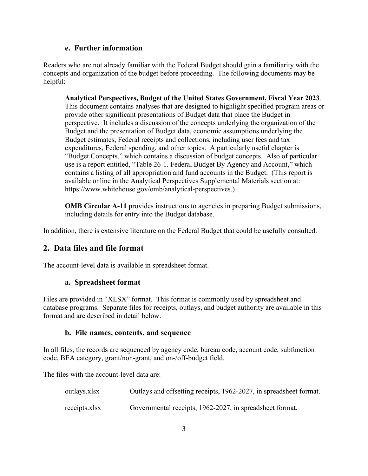#### **e. Further information**

<span id="page-4-0"></span>Readers who are not already familiar with the Federal Budget should gain a familiarity with the concepts and organization of the budget before proceeding. The following documents may be helpful:

**Analytical Perspectives, Budget of the United States Government, Fiscal Year 2023**. This document contains analyses that are designed to highlight specified program areas or provide other significant presentations of Budget data that place the Budget in perspective. It includes a discussion of the concepts underlying the organization of the Budget and the presentation of Budget data, economic assumptions underlying the Budget estimates, Federal receipts and collections, including user fees and tax expenditures, Federal spending, and other topics. A particularly useful chapter is "Budget Concepts," which contains a discussion of budget concepts. Also of particular use is a report entitled, "Table 26-1. Federal Budget By Agency and Account," which contains a listing of all appropriation and fund accounts in the Budget. (This report is available online in the Analytical Perspectives Supplemental Materials section at: https://www.whitehouse.gov/omb/analytical-perspectives.)

**OMB Circular A-11** provides instructions to agencies in preparing Budget submissions, including details for entry into the Budget database.

In addition, there is extensive literature on the Federal Budget that could be usefully consulted.

#### **2. Data files and file format**

The account-level data is available in spreadsheet format.

#### **a. Spreadsheet format**

Files are provided in "XLSX" format. This format is commonly used by spreadsheet and database programs. Separate files for receipts, outlays, and budget authority are available in this format and are described in detail below.

#### **b. File names, contents, and sequence**

In all files, the records are sequenced by agency code, bureau code, account code, subfunction code, BEA category, grant/non-grant, and on-/off-budget field.

The files with the account-level data are:

| outlays.xlsx  | Outlays and offsetting receipts, 1962-2027, in spreadsheet format. |
|---------------|--------------------------------------------------------------------|
| receipts.xlsx | Governmental receipts, 1962-2027, in spreadsheet format.           |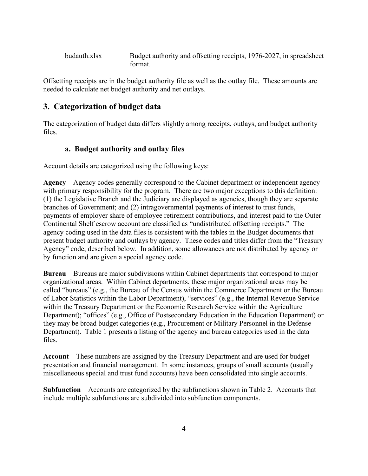<span id="page-5-0"></span>budauth.xlsx Budget authority and offsetting receipts, 1976-2027, in spreadsheet format.

Offsetting receipts are in the budget authority file as well as the outlay file. These amounts are needed to calculate net budget authority and net outlays.

## **3. Categorization of budget data**

The categorization of budget data differs slightly among receipts, outlays, and budget authority files.

#### **a. Budget authority and outlay files**

Account details are categorized using the following keys:

**Agency**—Agency codes generally correspond to the Cabinet department or independent agency with primary responsibility for the program. There are two major exceptions to this definition: (1) the Legislative Branch and the Judiciary are displayed as agencies, though they are separate branches of Government; and (2) intragovernmental payments of interest to trust funds, payments of employer share of employee retirement contributions, and interest paid to the Outer Continental Shelf escrow account are classified as "undistributed offsetting receipts." The agency coding used in the data files is consistent with the tables in the Budget documents that present budget authority and outlays by agency. These codes and titles differ from the "Treasury Agency" code, described below. In addition, some allowances are not distributed by agency or by function and are given a special agency code.

**Bureau**—Bureaus are major subdivisions within Cabinet departments that correspond to major organizational areas. Within Cabinet departments, these major organizational areas may be called "bureaus" (e.g., the Bureau of the Census within the Commerce Department or the Bureau of Labor Statistics within the Labor Department), "services" (e.g., the Internal Revenue Service within the Treasury Department or the Economic Research Service within the Agriculture Department); "offices" (e.g., Office of Postsecondary Education in the Education Department) or they may be broad budget categories (e.g., Procurement or Military Personnel in the Defense Department). Table 1 presents a listing of the agency and bureau categories used in the data files.

**Account**—These numbers are assigned by the Treasury Department and are used for budget presentation and financial management. In some instances, groups of small accounts (usually miscellaneous special and trust fund accounts) have been consolidated into single accounts.

**Subfunction**—Accounts are categorized by the subfunctions shown in Table 2. Accounts that include multiple subfunctions are subdivided into subfunction components.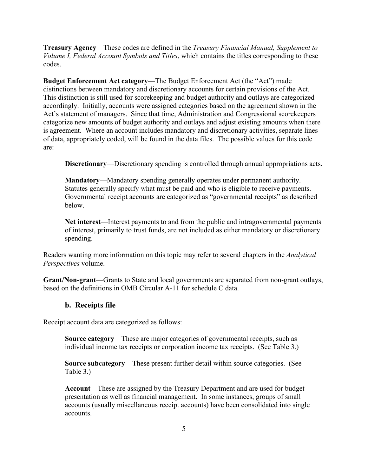<span id="page-6-0"></span>**Treasury Agency**—These codes are defined in the *Treasury Financial Manual, Supplement to Volume I, Federal Account Symbols and Titles*, which contains the titles corresponding to these codes.

**Budget Enforcement Act category**—The Budget Enforcement Act (the "Act") made distinctions between mandatory and discretionary accounts for certain provisions of the Act. This distinction is still used for scorekeeping and budget authority and outlays are categorized accordingly. Initially, accounts were assigned categories based on the agreement shown in the Act's statement of managers. Since that time, Administration and Congressional scorekeepers categorize new amounts of budget authority and outlays and adjust existing amounts when there is agreement. Where an account includes mandatory and discretionary activities, separate lines of data, appropriately coded, will be found in the data files. The possible values for this code are:

**Discretionary**—Discretionary spending is controlled through annual appropriations acts.

**Mandatory**—Mandatory spending generally operates under permanent authority. Statutes generally specify what must be paid and who is eligible to receive payments. Governmental receipt accounts are categorized as "governmental receipts" as described below.

**Net interest**—Interest payments to and from the public and intragovernmental payments of interest, primarily to trust funds, are not included as either mandatory or discretionary spending.

Readers wanting more information on this topic may refer to several chapters in the *Analytical Perspectives* volume.

**Grant/Non-grant**—Grants to State and local governments are separated from non-grant outlays, based on the definitions in OMB Circular A-11 for schedule C data.

#### **b. Receipts file**

Receipt account data are categorized as follows:

**Source category**—These are major categories of governmental receipts, such as individual income tax receipts or corporation income tax receipts. (See Table 3.)

**Source subcategory**—These present further detail within source categories. (See Table 3.)

**Account**—These are assigned by the Treasury Department and are used for budget presentation as well as financial management. In some instances, groups of small accounts (usually miscellaneous receipt accounts) have been consolidated into single accounts.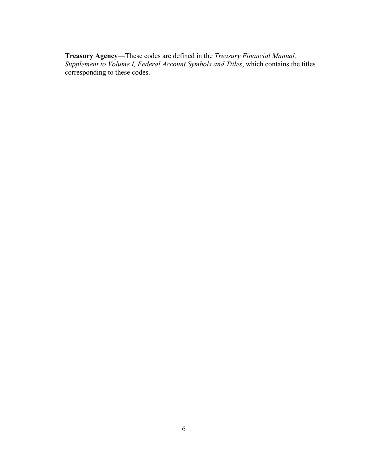**Treasury Agency**—These codes are defined in the *Treasury Financial Manual, Supplement to Volume I, Federal Account Symbols and Titles*, which contains the titles corresponding to these codes.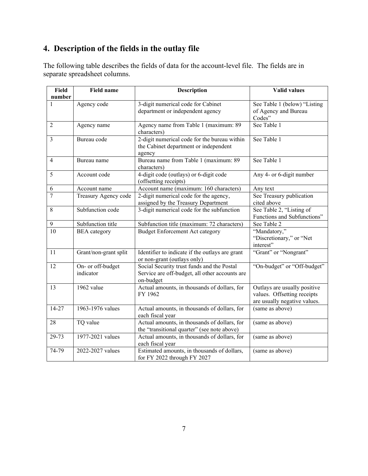## <span id="page-8-0"></span>**4. Description of the fields in the outlay file**

The following table describes the fields of data for the account-level file. The fields are in separate spreadsheet columns.

| Field          | <b>Field name</b>              | <b>Description</b>                                                                                        | <b>Valid values</b>                                                                         |
|----------------|--------------------------------|-----------------------------------------------------------------------------------------------------------|---------------------------------------------------------------------------------------------|
| number         |                                |                                                                                                           |                                                                                             |
|                | Agency code                    | 3-digit numerical code for Cabinet<br>department or independent agency                                    | See Table 1 (below) "Listing<br>of Agency and Bureau<br>Codes"                              |
| $\overline{2}$ | Agency name                    | Agency name from Table 1 (maximum: 89<br>characters)                                                      | See Table 1                                                                                 |
| 3              | Bureau code                    | 2-digit numerical code for the bureau within<br>the Cabinet department or independent<br>agency           | See Table 1                                                                                 |
| $\overline{4}$ | Bureau name                    | Bureau name from Table 1 (maximum: 89<br>characters)                                                      | See Table 1                                                                                 |
| 5              | Account code                   | 4-digit code (outlays) or 6-digit code<br>(offsetting receipts)                                           | Any 4- or 6-digit number                                                                    |
| 6              | Account name                   | Account name (maximum: 160 characters)                                                                    | Any text                                                                                    |
| $\overline{7}$ | Treasury Agency code           | 2-digit numerical code for the agency,<br>assigned by the Treasury Department                             | See Treasury publication<br>cited above                                                     |
| 8              | Subfunction code               | 3-digit numerical code for the subfunction                                                                | See Table 2, "Listing of<br>Functions and Subfunctions"                                     |
| $\mathbf{9}$   | Subfunction title              | Subfunction title (maximum: 72 characters)                                                                | See Table 2                                                                                 |
| 10             | <b>BEA</b> category            | <b>Budget Enforcement Act category</b>                                                                    | "Mandatory,"<br>"Discretionary," or "Net<br>interest"                                       |
| 11             | Grant/non-grant split          | Identifier to indicate if the outlays are grant<br>or non-grant (outlays only)                            | "Grant" or "Nongrant"                                                                       |
| 12             | On- or off-budget<br>indicator | Social Security trust funds and the Postal<br>Service are off-budget, all other accounts are<br>on-budget | "On-budget" or "Off-budget"                                                                 |
| 13             | 1962 value                     | Actual amounts, in thousands of dollars, for<br>FY 1962                                                   | Outlays are usually positive<br>values. Offsetting receipts<br>are usually negative values. |
| 14-27          | 1963-1976 values               | Actual amounts, in thousands of dollars, for<br>each fiscal year                                          | (same as above)                                                                             |
| 28             | TQ value                       | Actual amounts, in thousands of dollars, for<br>the "transitional quarter" (see note above)               | (same as above)                                                                             |
| 29-73          | 1977-2021 values               | Actual amounts, in thousands of dollars, for<br>each fiscal year                                          | (same as above)                                                                             |
| 74-79          | 2022-2027 values               | Estimated amounts, in thousands of dollars,<br>for FY 2022 through FY 2027                                | (same as above)                                                                             |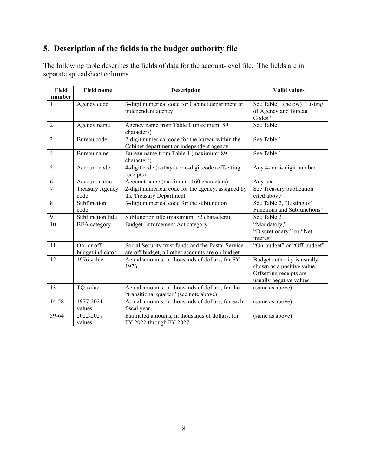## <span id="page-9-0"></span>**5. Description of the fields in the budget authority file**

The following table describes the fields of data for the account-level file. The fields are in separate spreadsheet columns.

| Field          | <b>Field name</b>      | <b>Description</b>                                 | <b>Valid values</b>          |
|----------------|------------------------|----------------------------------------------------|------------------------------|
| number         |                        |                                                    |                              |
| 1              | Agency code            | 3-digit numerical code for Cabinet department or   | See Table 1 (below) "Listing |
|                |                        | independent agency                                 | of Agency and Bureau         |
|                |                        |                                                    | Codes"                       |
| 2              | Agency name            | Agency name from Table 1 (maximum: 89              | See Table 1                  |
|                |                        | characters)                                        |                              |
| $\overline{3}$ | Bureau code            | 2-digit numerical code for the bureau within the   | See Table 1                  |
|                |                        | Cabinet department or independent agency           |                              |
| 4              | Bureau name            | Bureau name from Table 1 (maximum: 89              | See Table 1                  |
|                |                        | characters)                                        |                              |
| 5              | Account code           | 4-digit code (outlays) or 6-digit code (offsetting | Any 4- or 6- digit number    |
|                |                        | receipts)                                          |                              |
| 6              | Account name           | Account name (maximum: 160 characters)             | Any text                     |
| $\overline{7}$ | <b>Treasury Agency</b> | 2-digit numerical code for the agency, assigned by | See Treasury publication     |
|                | code                   | the Treasury Department                            | cited above                  |
| 8              | Subfunction            | 3-digit numerical code for the subfunction         | See Table 2, "Listing of     |
|                | code                   |                                                    | Functions and Subfunctions"  |
| 9              | Subfunction title      | Subfunction title (maximum: 72 characters)         | See Table 2                  |
| 10             | <b>BEA</b> category    | <b>Budget Enforcement Act category</b>             | "Mandatory,"                 |
|                |                        |                                                    | "Discretionary," or "Net     |
|                |                        |                                                    | interest"                    |
| 11             | On- or off-            | Social Security trust funds and the Postal Service | "On-budget" or "Off-budget"  |
|                | budget indicator       | are off-budget, all other accounts are on-budget   |                              |
| 12             | 1976 value             | Actual amounts, in thousands of dollars, for FY    | Budget authority is usually  |
|                |                        | 1976                                               | shown as a positive value.   |
|                |                        |                                                    | Offsetting receipts are      |
|                |                        |                                                    | usually negative values.     |
| 13             | TQ value               | Actual amounts, in thousands of dollars, for the   | (same as above)              |
|                |                        | "transitional quarter" (see note above)            |                              |
| 14-58          | 1977-2021              | Actual amounts, in thousands of dollars, for each  | (same as above)              |
|                | values                 | fiscal year                                        |                              |
| 59-64          | 2022-2027              | Estimated amounts, in thousands of dollars, for    | (same as above)              |
|                | values                 | FY 2022 through FY 2027                            |                              |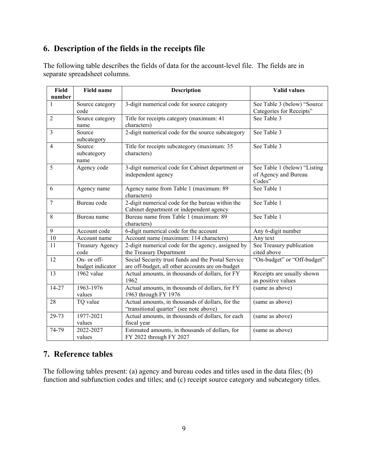## <span id="page-10-0"></span>**6. Description of the fields in the receipts file**

The following table describes the fields of data for the account-level file. The fields are in separate spreadsheet columns.

| <b>Field</b>   | <b>Field name</b>      | <b>Description</b>                                 | <b>Valid values</b>          |
|----------------|------------------------|----------------------------------------------------|------------------------------|
| number         |                        |                                                    |                              |
| 1              | Source category        | 3-digit numerical code for source category         | See Table 3 (below) "Source  |
|                | code                   |                                                    | Categories for Receipts"     |
| $\overline{2}$ | Source category        | Title for receipts category (maximum: 41           | See Table 3                  |
|                | name                   | characters)                                        |                              |
| 3              | Source                 | 2-digit numerical code for the source subcategory  | See Table 3                  |
|                | subcategory            |                                                    |                              |
| 4              | Source                 | Title for receipts subcategory (maximum: 35        | See Table 3                  |
|                | subcategory            | characters)                                        |                              |
|                | name                   |                                                    |                              |
| 5              | Agency code            | 3-digit numerical code for Cabinet department or   | See Table 1 (below) "Listing |
|                |                        | independent agency                                 | of Agency and Bureau         |
|                |                        |                                                    | Codes"                       |
| 6              | Agency name            | Agency name from Table 1 (maximum: 89              | See Table 1                  |
|                |                        | characters)                                        |                              |
| $\tau$         | Bureau code            | 2-digit numerical code for the bureau within the   | See Table 1                  |
|                |                        | Cabinet department or independent agency           |                              |
| 8              | Bureau name            | Bureau name from Table 1 (maximum: 89              | See Table 1                  |
|                |                        | characters)                                        |                              |
| 9              | Account code           | 6-digit numerical code for the account             | Any 6-digit number           |
| 10             | Account name           | Account name (maximum: 114 characters)             | Any text                     |
| 11             | <b>Treasury Agency</b> | 2-digit numerical code for the agency, assigned by | See Treasury publication     |
|                | code                   | the Treasury Department                            | cited above                  |
| 12             | On- or off-            | Social Security trust funds and the Postal Service | "On-budget" or "Off-budget"  |
|                | budget indicator       | are off-budget, all other accounts are on-budget   |                              |
| 13             | 1962 value             | Actual amounts, in thousands of dollars, for FY    | Receipts are usually shown   |
|                |                        | 1962                                               | as positive values           |
| 14-27          | 1963-1976              | Actual amounts, in thousands of dollars, for FY    | (same as above)              |
|                | values                 | 1963 through FY 1976                               |                              |
| 28             | TQ value               | Actual amounts, in thousands of dollars, for the   | (same as above)              |
|                |                        | "transitional quarter" (see note above)            |                              |
| 29-73          | 1977-2021              | Actual amounts, in thousands of dollars, for each  | (same as above)              |
|                | values                 | fiscal year                                        |                              |
| 74-79          | 2022-2027              | Estimated amounts, in thousands of dollars, for    | (same as above)              |
|                | values                 | FY 2022 through FY 2027                            |                              |

## **7. Reference tables**

The following tables present: (a) agency and bureau codes and titles used in the data files; (b) function and subfunction codes and titles; and (c) receipt source category and subcategory titles.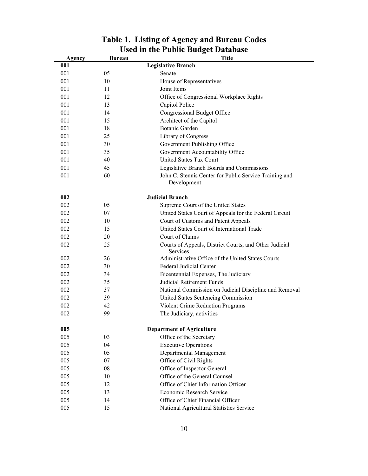<span id="page-11-0"></span>

| Agency | <b>Bureau</b> | <b>Title</b>                                                       |
|--------|---------------|--------------------------------------------------------------------|
| 001    |               | <b>Legislative Branch</b>                                          |
| 001    | 05            | Senate                                                             |
| 001    | 10            | House of Representatives                                           |
| 001    | 11            | Joint Items                                                        |
| 001    | 12            | Office of Congressional Workplace Rights                           |
| 001    | 13            | Capitol Police                                                     |
| 001    | 14            | Congressional Budget Office                                        |
| 001    | 15            | Architect of the Capitol                                           |
| 001    | 18            | <b>Botanic Garden</b>                                              |
| 001    | 25            | Library of Congress                                                |
| 001    | 30            | Government Publishing Office                                       |
| 001    | 35            | Government Accountability Office                                   |
| 001    | 40            | United States Tax Court                                            |
| 001    | 45            | Legislative Branch Boards and Commissions                          |
| 001    | 60            | John C. Stennis Center for Public Service Training and             |
|        |               | Development                                                        |
| 002    |               | <b>Judicial Branch</b>                                             |
| 002    | 05            | Supreme Court of the United States                                 |
| 002    | 07            | United States Court of Appeals for the Federal Circuit             |
| 002    | 10            | Court of Customs and Patent Appeals                                |
| 002    | 15            | United States Court of International Trade                         |
| 002    | 20            | Court of Claims                                                    |
| 002    | 25            | Courts of Appeals, District Courts, and Other Judicial<br>Services |
| 002    | 26            | Administrative Office of the United States Courts                  |
| 002    | 30            | Federal Judicial Center                                            |
| 002    | 34            | Bicentennial Expenses, The Judiciary                               |
| 002    | 35            | Judicial Retirement Funds                                          |
| 002    | 37            | National Commission on Judicial Discipline and Removal             |
| 002    | 39            | United States Sentencing Commission                                |
| 002    | 42            | Violent Crime Reduction Programs                                   |
| 002    | 99            | The Judiciary, activities                                          |
| 005    |               | <b>Department of Agriculture</b>                                   |
| 005    | 03            | Office of the Secretary                                            |
| 005    | 04            | <b>Executive Operations</b>                                        |
| 005    | 05            | Departmental Management                                            |
| 005    | 07            | Office of Civil Rights                                             |
| 005    | 08            | Office of Inspector General                                        |
| 005    | 10            | Office of the General Counsel                                      |
| 005    | 12            | Office of Chief Information Officer                                |
| 005    | 13            | Economic Research Service                                          |
| 005    | 14            | Office of Chief Financial Officer                                  |
| 005    | 15            | National Agricultural Statistics Service                           |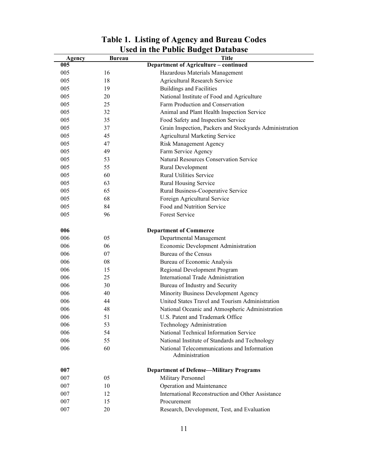|        |               | USU III UIU I UDIIU DUUGU DAIADASC                      |
|--------|---------------|---------------------------------------------------------|
| Agency | <b>Bureau</b> | Title                                                   |
| 005    |               | Department of Agriculture - continued                   |
| 005    | 16            | Hazardous Materials Management                          |
| 005    | 18            | Agricultural Research Service                           |
| 005    | 19            | <b>Buildings and Facilities</b>                         |
| 005    | 20            | National Institute of Food and Agriculture              |
| 005    | 25            | Farm Production and Conservation                        |
| 005    | 32            | Animal and Plant Health Inspection Service              |
| 005    | 35            | Food Safety and Inspection Service                      |
| 005    | 37            | Grain Inspection, Packers and Stockyards Administration |
| 005    | 45            | <b>Agricultural Marketing Service</b>                   |
| 005    | 47            | <b>Risk Management Agency</b>                           |
| 005    | 49            | Farm Service Agency                                     |
| 005    | 53            | <b>Natural Resources Conservation Service</b>           |
| 005    | 55            | Rural Development                                       |
| 005    | 60            | <b>Rural Utilities Service</b>                          |
| 005    | 63            | Rural Housing Service                                   |
| 005    | 65            | Rural Business-Cooperative Service                      |
| 005    | 68            | Foreign Agricultural Service                            |
| 005    | 84            | Food and Nutrition Service                              |
| 005    | 96            | Forest Service                                          |
| 006    |               | <b>Department of Commerce</b>                           |
| 006    | 05            | Departmental Management                                 |
| 006    | 06            | Economic Development Administration                     |
| 006    | 07            | Bureau of the Census                                    |
| 006    | 08            | Bureau of Economic Analysis                             |
| 006    | 15            | Regional Development Program                            |
| 006    | 25            | International Trade Administration                      |
| 006    | 30            | Bureau of Industry and Security                         |
| 006    | 40            | Minority Business Development Agency                    |
| 006    | 44            | United States Travel and Tourism Administration         |
| 006    | 48            | National Oceanic and Atmospheric Administration         |
| 006    | 51            | U.S. Patent and Trademark Office                        |
| 006    | 53            | Technology Administration                               |
| 006    | 54            | National Technical Information Service                  |
| 006    | 55            | National Institute of Standards and Technology          |
| 006    | 60            | National Telecommunications and Information             |
|        |               | Administration                                          |
| 007    |               | <b>Department of Defense-Military Programs</b>          |
| 007    | 05            | Military Personnel                                      |
| 007    | 10            | Operation and Maintenance                               |
| 007    | 12            | International Reconstruction and Other Assistance       |
| 007    | 15            | Procurement                                             |
| 007    | 20            | Research, Development, Test, and Evaluation             |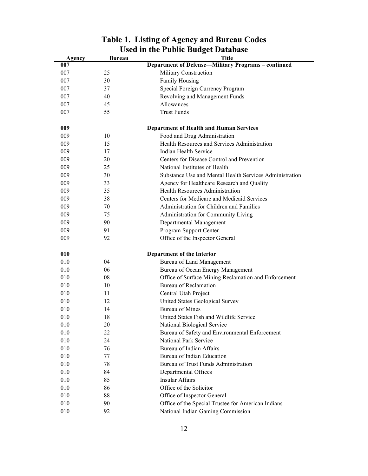| Agency | <b>Bureau</b> | <b>Title</b>                                            |
|--------|---------------|---------------------------------------------------------|
| 007    |               | Department of Defense-Military Programs - continued     |
| 007    | 25            | Military Construction                                   |
| 007    | 30            | Family Housing                                          |
| 007    | 37            | Special Foreign Currency Program                        |
| 007    | 40            | Revolving and Management Funds                          |
| 007    | 45            | Allowances                                              |
| 007    | 55            | <b>Trust Funds</b>                                      |
| 009    |               | <b>Department of Health and Human Services</b>          |
| 009    | 10            | Food and Drug Administration                            |
| 009    | 15            | Health Resources and Services Administration            |
| 009    | 17            | Indian Health Service                                   |
| 009    | 20            | Centers for Disease Control and Prevention              |
| 009    | 25            | National Institutes of Health                           |
| 009    | 30            | Substance Use and Mental Health Services Administration |
| 009    | 33            | Agency for Healthcare Research and Quality              |
| 009    | 35            | Health Resources Administration                         |
| 009    | 38            | Centers for Medicare and Medicaid Services              |
| 009    | 70            | Administration for Children and Families                |
| 009    | 75            | Administration for Community Living                     |
| 009    | 90            | Departmental Management                                 |
| 009    | 91            | Program Support Center                                  |
| 009    | 92            | Office of the Inspector General                         |
| 010    |               | Department of the Interior                              |
| 010    | 04            | Bureau of Land Management                               |
| 010    | 06            | Bureau of Ocean Energy Management                       |
| 010    | 08            | Office of Surface Mining Reclamation and Enforcement    |
| 010    | 10            | <b>Bureau of Reclamation</b>                            |
| 010    | 11            | Central Utah Project                                    |
| 010    | 12            | United States Geological Survey                         |
| 010    | 14            | <b>Bureau of Mines</b>                                  |
| 010    | 18            | United States Fish and Wildlife Service                 |
| 010    | 20            | National Biological Service                             |
| 010    | 22            | Bureau of Safety and Environmental Enforcement          |
| 010    | 24            | National Park Service                                   |
| 010    | 76            | Bureau of Indian Affairs                                |
| 010    | 77            | Bureau of Indian Education                              |
| 010    | 78            | Bureau of Trust Funds Administration                    |
| 010    | 84            | Departmental Offices                                    |
| 010    | 85            | <b>Insular Affairs</b>                                  |
| 010    | 86            | Office of the Solicitor                                 |
| 010    | 88            | Office of Inspector General                             |
| 010    |               |                                                         |
|        | 90            | Office of the Special Trustee for American Indians      |
| 010    | 92            | National Indian Gaming Commission                       |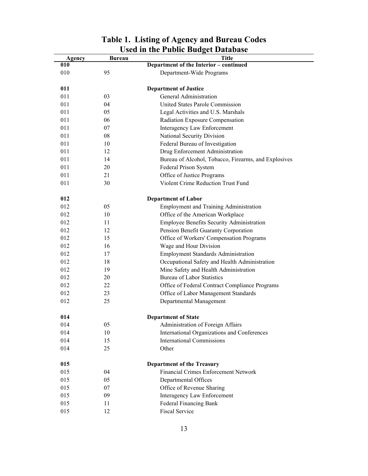| Agency | <b>Bureau</b> | USU III IIIU I UDIIL DUUGU DAIADASU<br><b>Title</b>  |
|--------|---------------|------------------------------------------------------|
| 010    |               | Department of the Interior - continued               |
| 010    | 95            | Department-Wide Programs                             |
| 011    |               | <b>Department of Justice</b>                         |
| 011    | 03            | General Administration                               |
| 011    | 04            | United States Parole Commission                      |
| 011    | 05            | Legal Activities and U.S. Marshals                   |
| 011    | 06            | Radiation Exposure Compensation                      |
| 011    |               | Interagency Law Enforcement                          |
|        | 07            |                                                      |
| 011    | 08            | National Security Division                           |
| 011    | 10            | Federal Bureau of Investigation                      |
| 011    | 12            | Drug Enforcement Administration                      |
| 011    | 14            | Bureau of Alcohol, Tobacco, Firearms, and Explosives |
| 011    | 20            | Federal Prison System                                |
| 011    | 21            | Office of Justice Programs                           |
| 011    | 30            | Violent Crime Reduction Trust Fund                   |
| 012    |               | <b>Department of Labor</b>                           |
| 012    | 05            | <b>Employment and Training Administration</b>        |
| 012    | 10            | Office of the American Workplace                     |
| 012    | 11            | Employee Benefits Security Administration            |
| 012    | 12            | Pension Benefit Guaranty Corporation                 |
| 012    | 15            | Office of Workers' Compensation Programs             |
| 012    | 16            | Wage and Hour Division                               |
| 012    | 17            | <b>Employment Standards Administration</b>           |
| 012    | 18            | Occupational Safety and Health Administration        |
| 012    | 19            | Mine Safety and Health Administration                |
| 012    | 20            | <b>Bureau of Labor Statistics</b>                    |
| 012    | 22            | Office of Federal Contract Compliance Programs       |
| 012    | 23            | Office of Labor Management Standards                 |
| 012    | 25            | Departmental Management                              |
| 014    |               | <b>Department of State</b>                           |
| 014    | 05            | Administration of Foreign Affairs                    |
| 014    | 10            | International Organizations and Conferences          |
| 014    | 15            | <b>International Commissions</b>                     |
| 014    | 25            | Other                                                |
|        |               |                                                      |
| 015    |               | <b>Department of the Treasury</b>                    |
| 015    | 04            | <b>Financial Crimes Enforcement Network</b>          |
| 015    | 05            | Departmental Offices                                 |
| 015    | 07            | Office of Revenue Sharing                            |
| 015    | 09            | Interagency Law Enforcement                          |
| 015    | 11            | Federal Financing Bank                               |
| 015    | 12            | <b>Fiscal Service</b>                                |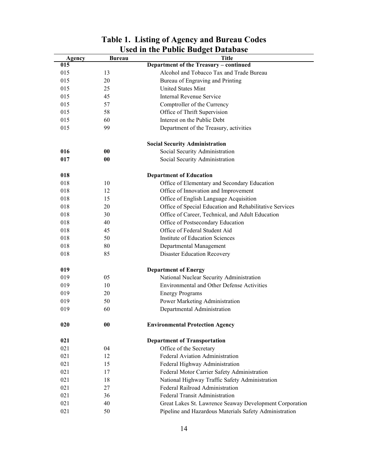|        |                   | Used in the Public Budget Database                      |
|--------|-------------------|---------------------------------------------------------|
| Agency | <b>Bureau</b>     | <b>Title</b>                                            |
| 015    |                   | Department of the Treasury - continued                  |
| 015    | 13                | Alcohol and Tobacco Tax and Trade Bureau                |
| 015    | 20                | Bureau of Engraving and Printing                        |
| 015    | 25                | United States Mint                                      |
| 015    | 45                | <b>Internal Revenue Service</b>                         |
| 015    | 57                | Comptroller of the Currency                             |
| 015    | 58                | Office of Thrift Supervision                            |
| 015    | 60                | Interest on the Public Debt                             |
| 015    | 99                | Department of the Treasury, activities                  |
|        |                   | <b>Social Security Administration</b>                   |
| 016    | 00                | Social Security Administration                          |
| 017    | $\boldsymbol{00}$ | Social Security Administration                          |
| 018    |                   |                                                         |
| 018    | 10                | <b>Department of Education</b>                          |
|        |                   | Office of Elementary and Secondary Education            |
| 018    | 12                | Office of Innovation and Improvement                    |
| 018    | 15                | Office of English Language Acquisition                  |
| 018    | 20                | Office of Special Education and Rehabilitative Services |
| 018    | 30                | Office of Career, Technical, and Adult Education        |
| 018    | 40                | Office of Postsecondary Education                       |
| 018    | 45                | Office of Federal Student Aid                           |
| 018    | 50                | <b>Institute of Education Sciences</b>                  |
| 018    | 80                | Departmental Management                                 |
| 018    | 85                | <b>Disaster Education Recovery</b>                      |
| 019    |                   | <b>Department of Energy</b>                             |
| 019    | 05                | National Nuclear Security Administration                |
| 019    | 10                | <b>Environmental and Other Defense Activities</b>       |
| 019    | 20                | <b>Energy Programs</b>                                  |
| 019    | 50                | Power Marketing Administration                          |
| 019    | 60                | Departmental Administration                             |
| 020    | $\boldsymbol{00}$ | <b>Environmental Protection Agency</b>                  |
| 021    |                   | <b>Department of Transportation</b>                     |
| 021    | 04                | Office of the Secretary                                 |
| 021    | 12                | Federal Aviation Administration                         |
| 021    | 15                | Federal Highway Administration                          |
| 021    | 17                | Federal Motor Carrier Safety Administration             |
| 021    | 18                | National Highway Traffic Safety Administration          |
| 021    | 27                | Federal Railroad Administration                         |
| 021    | 36                | <b>Federal Transit Administration</b>                   |
| 021    | 40                | Great Lakes St. Lawrence Seaway Development Corporation |
| 021    | 50                | Pipeline and Hazardous Materials Safety Administration  |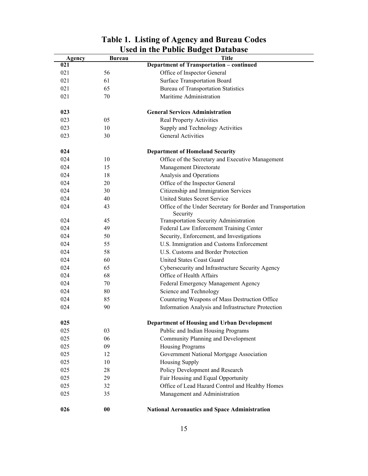| Agency | <b>Bureau</b> | <b>Title</b>                                                            |
|--------|---------------|-------------------------------------------------------------------------|
| 021    |               | <b>Department of Transportation - continued</b>                         |
| 021    | 56            | Office of Inspector General                                             |
| 021    | 61            | Surface Transportation Board                                            |
| 021    | 65            | <b>Bureau of Transportation Statistics</b>                              |
| 021    | 70            | Maritime Administration                                                 |
| 023    |               | <b>General Services Administration</b>                                  |
| 023    | 05            | Real Property Activities                                                |
| 023    | 10            | Supply and Technology Activities                                        |
| 023    | 30            | <b>General Activities</b>                                               |
| 024    |               | <b>Department of Homeland Security</b>                                  |
| 024    | 10            | Office of the Secretary and Executive Management                        |
| 024    | 15            | Management Directorate                                                  |
| 024    | 18            | Analysis and Operations                                                 |
| 024    | 20            | Office of the Inspector General                                         |
| 024    | 30            | Citizenship and Immigration Services                                    |
| 024    | 40            | <b>United States Secret Service</b>                                     |
| 024    | 43            | Office of the Under Secretary for Border and Transportation<br>Security |
| 024    | 45            | Transportation Security Administration                                  |
| 024    | 49            | Federal Law Enforcement Training Center                                 |
| 024    | 50            | Security, Enforcement, and Investigations                               |
| 024    | 55            | U.S. Immigration and Customs Enforcement                                |
| 024    | 58            | U.S. Customs and Border Protection                                      |
| 024    | 60            | United States Coast Guard                                               |
| 024    | 65            | Cybersecurity and Infrastructure Security Agency                        |
| 024    | 68            | Office of Health Affairs                                                |
| 024    | 70            | Federal Emergency Management Agency                                     |
| 024    | 80            | Science and Technology                                                  |
| 024    | 85            | Countering Weapons of Mass Destruction Office                           |
| 024    | 90            | Information Analysis and Infrastructure Protection                      |
| 025    |               | Department of Housing and Urban Development                             |
| 025    | 03            | Public and Indian Housing Programs                                      |
| 025    | 06            | Community Planning and Development                                      |
| 025    | 09            | Housing Programs                                                        |
| 025    | 12            | Government National Mortgage Association                                |
| 025    | 10            | Housing Supply                                                          |
| 025    | 28            | Policy Development and Research                                         |
| 025    | 29            | Fair Housing and Equal Opportunity                                      |
| 025    | 32            | Office of Lead Hazard Control and Healthy Homes                         |
| 025    | 35            | Management and Administration                                           |
| 026    | $\bf{00}$     | <b>National Aeronautics and Space Administration</b>                    |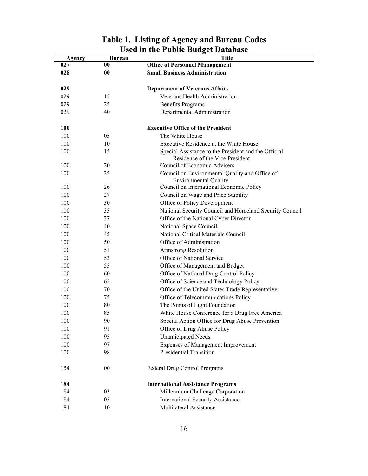| Agency | <b>Bureau</b>     | <b>Title</b>                                                                            |
|--------|-------------------|-----------------------------------------------------------------------------------------|
| 027    | 00                | <b>Office of Personnel Management</b>                                                   |
| 028    | $\boldsymbol{00}$ | <b>Small Business Administration</b>                                                    |
| 029    |                   | <b>Department of Veterans Affairs</b>                                                   |
| 029    | 15                | Veterans Health Administration                                                          |
| 029    | 25                | <b>Benefits Programs</b>                                                                |
| 029    | 40                | Departmental Administration                                                             |
| 100    |                   | <b>Executive Office of the President</b>                                                |
| 100    | 05                | The White House                                                                         |
| 100    | 10                | Executive Residence at the White House                                                  |
| 100    | 15                | Special Assistance to the President and the Official<br>Residence of the Vice President |
| 100    | 20                | Council of Economic Advisers                                                            |
| 100    | 25                | Council on Environmental Quality and Office of<br><b>Environmental Quality</b>          |
| 100    | 26                | Council on International Economic Policy                                                |
| 100    | 27                | Council on Wage and Price Stability                                                     |
| 100    | 30                | Office of Policy Development                                                            |
| 100    | 35                | National Security Council and Homeland Security Council                                 |
| 100    | 37                | Office of the National Cyber Director                                                   |
| 100    | 40                | National Space Council                                                                  |
| 100    | 45                | National Critical Materials Council                                                     |
| 100    | 50                | Office of Administration                                                                |
| 100    | 51                | Armstrong Resolution                                                                    |
| 100    | 53                | Office of National Service                                                              |
| 100    | 55                | Office of Management and Budget                                                         |
| 100    | 60                | Office of National Drug Control Policy                                                  |
| 100    | 65                | Office of Science and Technology Policy                                                 |
| 100    | 70                | Office of the United States Trade Representative                                        |
| 100    | 75                | Office of Telecommunications Policy                                                     |
| 100    | 80                | The Points of Light Foundation                                                          |
| 100    | 85                | White House Conference for a Drug Free America                                          |
| 100    | 90                | Special Action Office for Drug Abuse Prevention                                         |
| 100    | 91                | Office of Drug Abuse Policy                                                             |
| 100    | 95                | <b>Unanticipated Needs</b>                                                              |
| 100    | 97                | Expenses of Management Improvement                                                      |
| 100    | 98                | Presidential Transition                                                                 |
| 154    | $00\,$            | Federal Drug Control Programs                                                           |
| 184    |                   | <b>International Assistance Programs</b>                                                |
| 184    | 03                | Millennium Challenge Corporation                                                        |
| 184    | 05                | International Security Assistance                                                       |
| 184    | 10                | Multilateral Assistance                                                                 |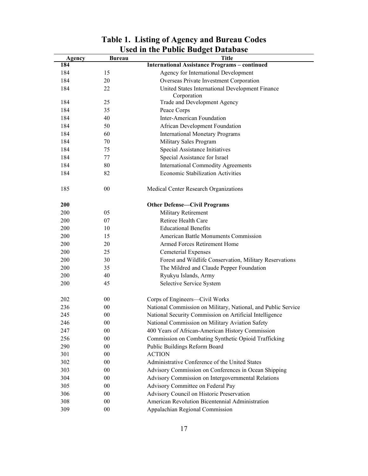| Agency | <b>Bureau</b> | USU III THU I UDIIU DUUGUI DATADASU<br><b>Title</b>           |
|--------|---------------|---------------------------------------------------------------|
| 184    |               | <b>International Assistance Programs - continued</b>          |
| 184    | 15            | Agency for International Development                          |
| 184    | 20            | Overseas Private Investment Corporation                       |
| 184    | 22            | United States International Development Finance               |
|        |               | Corporation                                                   |
| 184    | 25            | Trade and Development Agency                                  |
| 184    | 35            | Peace Corps                                                   |
| 184    | 40            | <b>Inter-American Foundation</b>                              |
| 184    | 50            | African Development Foundation                                |
| 184    | 60            | <b>International Monetary Programs</b>                        |
| 184    | 70            | Military Sales Program                                        |
| 184    | 75            | Special Assistance Initiatives                                |
| 184    | 77            | Special Assistance for Israel                                 |
| 184    | 80            | <b>International Commodity Agreements</b>                     |
| 184    | 82            | <b>Economic Stabilization Activities</b>                      |
| 185    | $00\,$        | Medical Center Research Organizations                         |
| 200    |               | <b>Other Defense-Civil Programs</b>                           |
| 200    | 05            | Military Retirement                                           |
| 200    | 07            | Retiree Health Care                                           |
| 200    | 10            | <b>Educational Benefits</b>                                   |
| 200    | 15            | American Battle Monuments Commission                          |
| 200    | 20            | Armed Forces Retirement Home                                  |
| 200    | 25            | Cemeterial Expenses                                           |
| 200    | 30            | Forest and Wildlife Conservation, Military Reservations       |
| 200    | 35            | The Mildred and Claude Pepper Foundation                      |
| 200    | 40            | Ryukyu Islands, Army                                          |
| 200    | 45            | Selective Service System                                      |
| 202    | $00\,$        | Corps of Engineers—Civil Works                                |
| 236    | 00            | National Commission on Military, National, and Public Service |
| 245    | 00            | National Security Commission on Artificial Intelligence       |
| 246    | $00\,$        | National Commission on Military Aviation Safety               |
| 247    | 00            | 400 Years of African-American History Commission              |
| 256    | $00\,$        | Commission on Combating Synthetic Opioid Trafficking          |
| 290    | $00\,$        | Public Buildings Reform Board                                 |
| 301    | $00\,$        | <b>ACTION</b>                                                 |
| 302    | $00\,$        | Administrative Conference of the United States                |
| 303    | $00\,$        | Advisory Commission on Conferences in Ocean Shipping          |
| 304    | $00\,$        | Advisory Commission on Intergovernmental Relations            |
| 305    | $00\,$        | Advisory Committee on Federal Pay                             |
| 306    | $00\,$        | Advisory Council on Historic Preservation                     |
| 308    | $00\,$        | American Revolution Bicentennial Administration               |
| 309    | $00\,$        | Appalachian Regional Commission                               |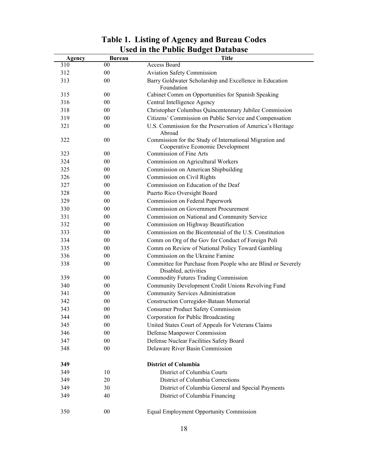|        |               | USEU III LIIE FUDIIC DUULEL D'ALADASE                                                       |
|--------|---------------|---------------------------------------------------------------------------------------------|
| Agency | <b>Bureau</b> | <b>Title</b>                                                                                |
| 310    | 00            | Access Board                                                                                |
| 312    | $00\,$        | <b>Aviation Safety Commission</b>                                                           |
| 313    | $00\,$        | Barry Goldwater Scholarship and Excellence in Education<br>Foundation                       |
| 315    | $00\,$        | Cabinet Comm on Opportunities for Spanish Speaking                                          |
| 316    | 00            | Central Intelligence Agency                                                                 |
| 318    | 00            | Christopher Columbus Quincentennary Jubilee Commission                                      |
| 319    | 00            | Citizens' Commission on Public Service and Compensation                                     |
| 321    | 00            | U.S. Commission for the Preservation of America's Heritage<br>Abroad                        |
| 322    | 00            | Commission for the Study of International Migration and<br>Cooperative Economic Development |
| 323    | 00            | Commission of Fine Arts                                                                     |
| 324    | $00\,$        | Commission on Agricultural Workers                                                          |
| 325    | $00\,$        | Commission on American Shipbuilding                                                         |
| 326    | $00\,$        | Commission on Civil Rights                                                                  |
| 327    | 00            | Commission on Education of the Deaf                                                         |
| 328    | 00            | Puerto Rico Oversight Board                                                                 |
| 329    | $00\,$        | Commission on Federal Paperwork                                                             |
| 330    | 00            | Commission on Government Procurement                                                        |
| 331    | 00            | Commission on National and Community Service                                                |
| 332    | $00\,$        | Commission on Highway Beautification                                                        |
| 333    | 00            | Commission on the Bicentennial of the U.S. Constitution                                     |
| 334    | 00            | Comm on Org of the Gov for Conduct of Foreign Poli                                          |
| 335    | $00\,$        | Comm on Review of National Policy Toward Gambling                                           |
| 336    | $00\,$        | Commission on the Ukraine Famine                                                            |
| 338    | 00            | Committee for Purchase from People who are Blind or Severely<br>Disabled, activities        |
| 339    | $00\,$        | <b>Commodity Futures Trading Commission</b>                                                 |
| 340    | $00\,$        | Community Development Credit Unions Revolving Fund                                          |
| 341    | 00            | Community Services Administration                                                           |
| 342    | 00            | <b>Construction Corregidor-Bataan Memorial</b>                                              |
| 343    | 00            | <b>Consumer Product Safety Commission</b>                                                   |
| 344    | 00            | Corporation for Public Broadcasting                                                         |
| 345    | 00            | United States Court of Appeals for Veterans Claims                                          |
| 346    | $00\,$        | Defense Manpower Commission                                                                 |
| 347    | 00            | Defense Nuclear Facilities Safety Board                                                     |
| 348    | $00\,$        | Delaware River Basin Commission                                                             |
| 349    |               | <b>District of Columbia</b>                                                                 |
| 349    | 10            | District of Columbia Courts                                                                 |
| 349    | 20            | District of Columbia Corrections                                                            |
| 349    | 30            | District of Columbia General and Special Payments                                           |
| 349    | 40            | District of Columbia Financing                                                              |
| 350    | $00\,$        | Equal Employment Opportunity Commission                                                     |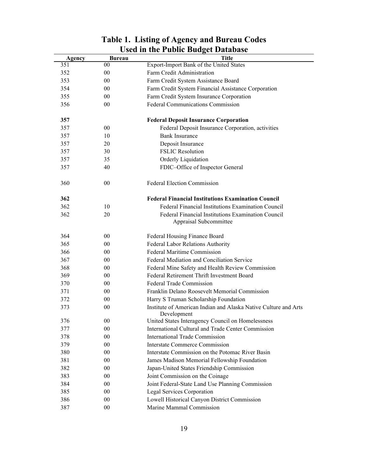| Export-Import Bank of the United States<br>351<br>00<br>00<br>Farm Credit Administration<br>352<br>00<br>Farm Credit System Assistance Board<br>353<br>Farm Credit System Financial Assistance Corporation<br>354<br>$00\,$<br>Farm Credit System Insurance Corporation<br>355<br>$00\,$<br>Federal Communications Commission<br>00<br>356<br><b>Federal Deposit Insurance Corporation</b><br>357<br>Federal Deposit Insurance Corporation, activities<br>357<br>$00\,$<br><b>Bank Insurance</b><br>357<br>10<br>Deposit Insurance<br>357<br>20<br><b>FSLIC Resolution</b><br>30<br>357<br>Orderly Liquidation<br>357<br>35<br>40<br>FDIC-Office of Inspector General<br>357<br><b>Federal Election Commission</b><br>360<br>$00\,$<br><b>Federal Financial Institutions Examination Council</b><br>362<br>Federal Financial Institutions Examination Council<br>362<br>10<br>Federal Financial Institutions Examination Council<br>362<br>20<br>Appraisal Subcommittee<br>364<br>00 <sup>°</sup><br>Federal Housing Finance Board<br>Federal Labor Relations Authority<br>365<br>$00\,$<br><b>Federal Maritime Commission</b><br>366<br>$00\,$<br>Federal Mediation and Conciliation Service<br>$00\,$<br>367<br>368<br>$00\,$<br>Federal Mine Safety and Health Review Commission<br>Federal Retirement Thrift Investment Board<br>369<br>$00\,$<br>Federal Trade Commission<br>$00\,$<br>370<br>Franklin Delano Roosevelt Memorial Commission<br>00 <sup>°</sup><br>371<br>Harry S Truman Scholarship Foundation<br>372<br>00 <sup>°</sup><br>Institute of American Indian and Alaska Native Culture and Arts<br>373<br>00<br>Development<br>376<br>United States Interagency Council on Homelessness<br>$00\,$<br>International Cultural and Trade Center Commission<br>377<br>00<br><b>International Trade Commission</b><br>$00\,$<br>378<br>$00\,$<br><b>Interstate Commerce Commission</b><br>379<br>380<br>Interstate Commission on the Potomac River Basin<br>$00\,$<br>381<br>James Madison Memorial Fellowship Foundation<br>$00\,$<br>382<br>$00\,$<br>Japan-United States Friendship Commission<br>383<br>$00\,$<br>Joint Commission on the Coinage |        |        | USEU III LIIE FUDIIC DUUGEL D'ALADASE            |
|-------------------------------------------------------------------------------------------------------------------------------------------------------------------------------------------------------------------------------------------------------------------------------------------------------------------------------------------------------------------------------------------------------------------------------------------------------------------------------------------------------------------------------------------------------------------------------------------------------------------------------------------------------------------------------------------------------------------------------------------------------------------------------------------------------------------------------------------------------------------------------------------------------------------------------------------------------------------------------------------------------------------------------------------------------------------------------------------------------------------------------------------------------------------------------------------------------------------------------------------------------------------------------------------------------------------------------------------------------------------------------------------------------------------------------------------------------------------------------------------------------------------------------------------------------------------------------------------------------------------------------------------------------------------------------------------------------------------------------------------------------------------------------------------------------------------------------------------------------------------------------------------------------------------------------------------------------------------------------------------------------------------------------------------------------------------------------------------------------------------------------------------------------------------|--------|--------|--------------------------------------------------|
|                                                                                                                                                                                                                                                                                                                                                                                                                                                                                                                                                                                                                                                                                                                                                                                                                                                                                                                                                                                                                                                                                                                                                                                                                                                                                                                                                                                                                                                                                                                                                                                                                                                                                                                                                                                                                                                                                                                                                                                                                                                                                                                                                                   | Agency | Bureau | <b>Title</b>                                     |
|                                                                                                                                                                                                                                                                                                                                                                                                                                                                                                                                                                                                                                                                                                                                                                                                                                                                                                                                                                                                                                                                                                                                                                                                                                                                                                                                                                                                                                                                                                                                                                                                                                                                                                                                                                                                                                                                                                                                                                                                                                                                                                                                                                   |        |        |                                                  |
|                                                                                                                                                                                                                                                                                                                                                                                                                                                                                                                                                                                                                                                                                                                                                                                                                                                                                                                                                                                                                                                                                                                                                                                                                                                                                                                                                                                                                                                                                                                                                                                                                                                                                                                                                                                                                                                                                                                                                                                                                                                                                                                                                                   |        |        |                                                  |
|                                                                                                                                                                                                                                                                                                                                                                                                                                                                                                                                                                                                                                                                                                                                                                                                                                                                                                                                                                                                                                                                                                                                                                                                                                                                                                                                                                                                                                                                                                                                                                                                                                                                                                                                                                                                                                                                                                                                                                                                                                                                                                                                                                   |        |        |                                                  |
|                                                                                                                                                                                                                                                                                                                                                                                                                                                                                                                                                                                                                                                                                                                                                                                                                                                                                                                                                                                                                                                                                                                                                                                                                                                                                                                                                                                                                                                                                                                                                                                                                                                                                                                                                                                                                                                                                                                                                                                                                                                                                                                                                                   |        |        |                                                  |
|                                                                                                                                                                                                                                                                                                                                                                                                                                                                                                                                                                                                                                                                                                                                                                                                                                                                                                                                                                                                                                                                                                                                                                                                                                                                                                                                                                                                                                                                                                                                                                                                                                                                                                                                                                                                                                                                                                                                                                                                                                                                                                                                                                   |        |        |                                                  |
|                                                                                                                                                                                                                                                                                                                                                                                                                                                                                                                                                                                                                                                                                                                                                                                                                                                                                                                                                                                                                                                                                                                                                                                                                                                                                                                                                                                                                                                                                                                                                                                                                                                                                                                                                                                                                                                                                                                                                                                                                                                                                                                                                                   |        |        |                                                  |
|                                                                                                                                                                                                                                                                                                                                                                                                                                                                                                                                                                                                                                                                                                                                                                                                                                                                                                                                                                                                                                                                                                                                                                                                                                                                                                                                                                                                                                                                                                                                                                                                                                                                                                                                                                                                                                                                                                                                                                                                                                                                                                                                                                   |        |        |                                                  |
|                                                                                                                                                                                                                                                                                                                                                                                                                                                                                                                                                                                                                                                                                                                                                                                                                                                                                                                                                                                                                                                                                                                                                                                                                                                                                                                                                                                                                                                                                                                                                                                                                                                                                                                                                                                                                                                                                                                                                                                                                                                                                                                                                                   |        |        |                                                  |
|                                                                                                                                                                                                                                                                                                                                                                                                                                                                                                                                                                                                                                                                                                                                                                                                                                                                                                                                                                                                                                                                                                                                                                                                                                                                                                                                                                                                                                                                                                                                                                                                                                                                                                                                                                                                                                                                                                                                                                                                                                                                                                                                                                   |        |        |                                                  |
|                                                                                                                                                                                                                                                                                                                                                                                                                                                                                                                                                                                                                                                                                                                                                                                                                                                                                                                                                                                                                                                                                                                                                                                                                                                                                                                                                                                                                                                                                                                                                                                                                                                                                                                                                                                                                                                                                                                                                                                                                                                                                                                                                                   |        |        |                                                  |
|                                                                                                                                                                                                                                                                                                                                                                                                                                                                                                                                                                                                                                                                                                                                                                                                                                                                                                                                                                                                                                                                                                                                                                                                                                                                                                                                                                                                                                                                                                                                                                                                                                                                                                                                                                                                                                                                                                                                                                                                                                                                                                                                                                   |        |        |                                                  |
|                                                                                                                                                                                                                                                                                                                                                                                                                                                                                                                                                                                                                                                                                                                                                                                                                                                                                                                                                                                                                                                                                                                                                                                                                                                                                                                                                                                                                                                                                                                                                                                                                                                                                                                                                                                                                                                                                                                                                                                                                                                                                                                                                                   |        |        |                                                  |
|                                                                                                                                                                                                                                                                                                                                                                                                                                                                                                                                                                                                                                                                                                                                                                                                                                                                                                                                                                                                                                                                                                                                                                                                                                                                                                                                                                                                                                                                                                                                                                                                                                                                                                                                                                                                                                                                                                                                                                                                                                                                                                                                                                   |        |        |                                                  |
|                                                                                                                                                                                                                                                                                                                                                                                                                                                                                                                                                                                                                                                                                                                                                                                                                                                                                                                                                                                                                                                                                                                                                                                                                                                                                                                                                                                                                                                                                                                                                                                                                                                                                                                                                                                                                                                                                                                                                                                                                                                                                                                                                                   |        |        |                                                  |
|                                                                                                                                                                                                                                                                                                                                                                                                                                                                                                                                                                                                                                                                                                                                                                                                                                                                                                                                                                                                                                                                                                                                                                                                                                                                                                                                                                                                                                                                                                                                                                                                                                                                                                                                                                                                                                                                                                                                                                                                                                                                                                                                                                   |        |        |                                                  |
|                                                                                                                                                                                                                                                                                                                                                                                                                                                                                                                                                                                                                                                                                                                                                                                                                                                                                                                                                                                                                                                                                                                                                                                                                                                                                                                                                                                                                                                                                                                                                                                                                                                                                                                                                                                                                                                                                                                                                                                                                                                                                                                                                                   |        |        |                                                  |
|                                                                                                                                                                                                                                                                                                                                                                                                                                                                                                                                                                                                                                                                                                                                                                                                                                                                                                                                                                                                                                                                                                                                                                                                                                                                                                                                                                                                                                                                                                                                                                                                                                                                                                                                                                                                                                                                                                                                                                                                                                                                                                                                                                   |        |        |                                                  |
|                                                                                                                                                                                                                                                                                                                                                                                                                                                                                                                                                                                                                                                                                                                                                                                                                                                                                                                                                                                                                                                                                                                                                                                                                                                                                                                                                                                                                                                                                                                                                                                                                                                                                                                                                                                                                                                                                                                                                                                                                                                                                                                                                                   |        |        |                                                  |
|                                                                                                                                                                                                                                                                                                                                                                                                                                                                                                                                                                                                                                                                                                                                                                                                                                                                                                                                                                                                                                                                                                                                                                                                                                                                                                                                                                                                                                                                                                                                                                                                                                                                                                                                                                                                                                                                                                                                                                                                                                                                                                                                                                   |        |        |                                                  |
|                                                                                                                                                                                                                                                                                                                                                                                                                                                                                                                                                                                                                                                                                                                                                                                                                                                                                                                                                                                                                                                                                                                                                                                                                                                                                                                                                                                                                                                                                                                                                                                                                                                                                                                                                                                                                                                                                                                                                                                                                                                                                                                                                                   |        |        |                                                  |
|                                                                                                                                                                                                                                                                                                                                                                                                                                                                                                                                                                                                                                                                                                                                                                                                                                                                                                                                                                                                                                                                                                                                                                                                                                                                                                                                                                                                                                                                                                                                                                                                                                                                                                                                                                                                                                                                                                                                                                                                                                                                                                                                                                   |        |        |                                                  |
|                                                                                                                                                                                                                                                                                                                                                                                                                                                                                                                                                                                                                                                                                                                                                                                                                                                                                                                                                                                                                                                                                                                                                                                                                                                                                                                                                                                                                                                                                                                                                                                                                                                                                                                                                                                                                                                                                                                                                                                                                                                                                                                                                                   |        |        |                                                  |
|                                                                                                                                                                                                                                                                                                                                                                                                                                                                                                                                                                                                                                                                                                                                                                                                                                                                                                                                                                                                                                                                                                                                                                                                                                                                                                                                                                                                                                                                                                                                                                                                                                                                                                                                                                                                                                                                                                                                                                                                                                                                                                                                                                   |        |        |                                                  |
|                                                                                                                                                                                                                                                                                                                                                                                                                                                                                                                                                                                                                                                                                                                                                                                                                                                                                                                                                                                                                                                                                                                                                                                                                                                                                                                                                                                                                                                                                                                                                                                                                                                                                                                                                                                                                                                                                                                                                                                                                                                                                                                                                                   |        |        |                                                  |
|                                                                                                                                                                                                                                                                                                                                                                                                                                                                                                                                                                                                                                                                                                                                                                                                                                                                                                                                                                                                                                                                                                                                                                                                                                                                                                                                                                                                                                                                                                                                                                                                                                                                                                                                                                                                                                                                                                                                                                                                                                                                                                                                                                   |        |        |                                                  |
|                                                                                                                                                                                                                                                                                                                                                                                                                                                                                                                                                                                                                                                                                                                                                                                                                                                                                                                                                                                                                                                                                                                                                                                                                                                                                                                                                                                                                                                                                                                                                                                                                                                                                                                                                                                                                                                                                                                                                                                                                                                                                                                                                                   |        |        |                                                  |
|                                                                                                                                                                                                                                                                                                                                                                                                                                                                                                                                                                                                                                                                                                                                                                                                                                                                                                                                                                                                                                                                                                                                                                                                                                                                                                                                                                                                                                                                                                                                                                                                                                                                                                                                                                                                                                                                                                                                                                                                                                                                                                                                                                   |        |        |                                                  |
|                                                                                                                                                                                                                                                                                                                                                                                                                                                                                                                                                                                                                                                                                                                                                                                                                                                                                                                                                                                                                                                                                                                                                                                                                                                                                                                                                                                                                                                                                                                                                                                                                                                                                                                                                                                                                                                                                                                                                                                                                                                                                                                                                                   |        |        |                                                  |
|                                                                                                                                                                                                                                                                                                                                                                                                                                                                                                                                                                                                                                                                                                                                                                                                                                                                                                                                                                                                                                                                                                                                                                                                                                                                                                                                                                                                                                                                                                                                                                                                                                                                                                                                                                                                                                                                                                                                                                                                                                                                                                                                                                   |        |        |                                                  |
|                                                                                                                                                                                                                                                                                                                                                                                                                                                                                                                                                                                                                                                                                                                                                                                                                                                                                                                                                                                                                                                                                                                                                                                                                                                                                                                                                                                                                                                                                                                                                                                                                                                                                                                                                                                                                                                                                                                                                                                                                                                                                                                                                                   |        |        |                                                  |
|                                                                                                                                                                                                                                                                                                                                                                                                                                                                                                                                                                                                                                                                                                                                                                                                                                                                                                                                                                                                                                                                                                                                                                                                                                                                                                                                                                                                                                                                                                                                                                                                                                                                                                                                                                                                                                                                                                                                                                                                                                                                                                                                                                   |        |        |                                                  |
|                                                                                                                                                                                                                                                                                                                                                                                                                                                                                                                                                                                                                                                                                                                                                                                                                                                                                                                                                                                                                                                                                                                                                                                                                                                                                                                                                                                                                                                                                                                                                                                                                                                                                                                                                                                                                                                                                                                                                                                                                                                                                                                                                                   |        |        |                                                  |
|                                                                                                                                                                                                                                                                                                                                                                                                                                                                                                                                                                                                                                                                                                                                                                                                                                                                                                                                                                                                                                                                                                                                                                                                                                                                                                                                                                                                                                                                                                                                                                                                                                                                                                                                                                                                                                                                                                                                                                                                                                                                                                                                                                   |        |        |                                                  |
|                                                                                                                                                                                                                                                                                                                                                                                                                                                                                                                                                                                                                                                                                                                                                                                                                                                                                                                                                                                                                                                                                                                                                                                                                                                                                                                                                                                                                                                                                                                                                                                                                                                                                                                                                                                                                                                                                                                                                                                                                                                                                                                                                                   |        |        |                                                  |
|                                                                                                                                                                                                                                                                                                                                                                                                                                                                                                                                                                                                                                                                                                                                                                                                                                                                                                                                                                                                                                                                                                                                                                                                                                                                                                                                                                                                                                                                                                                                                                                                                                                                                                                                                                                                                                                                                                                                                                                                                                                                                                                                                                   |        |        |                                                  |
|                                                                                                                                                                                                                                                                                                                                                                                                                                                                                                                                                                                                                                                                                                                                                                                                                                                                                                                                                                                                                                                                                                                                                                                                                                                                                                                                                                                                                                                                                                                                                                                                                                                                                                                                                                                                                                                                                                                                                                                                                                                                                                                                                                   | 384    | $00\,$ | Joint Federal-State Land Use Planning Commission |
| 385<br>$00\,$<br>Legal Services Corporation                                                                                                                                                                                                                                                                                                                                                                                                                                                                                                                                                                                                                                                                                                                                                                                                                                                                                                                                                                                                                                                                                                                                                                                                                                                                                                                                                                                                                                                                                                                                                                                                                                                                                                                                                                                                                                                                                                                                                                                                                                                                                                                       |        |        |                                                  |
| 386<br>Lowell Historical Canyon District Commission<br>$00\,$                                                                                                                                                                                                                                                                                                                                                                                                                                                                                                                                                                                                                                                                                                                                                                                                                                                                                                                                                                                                                                                                                                                                                                                                                                                                                                                                                                                                                                                                                                                                                                                                                                                                                                                                                                                                                                                                                                                                                                                                                                                                                                     |        |        |                                                  |
| Marine Mammal Commission<br>387<br>$00\,$                                                                                                                                                                                                                                                                                                                                                                                                                                                                                                                                                                                                                                                                                                                                                                                                                                                                                                                                                                                                                                                                                                                                                                                                                                                                                                                                                                                                                                                                                                                                                                                                                                                                                                                                                                                                                                                                                                                                                                                                                                                                                                                         |        |        |                                                  |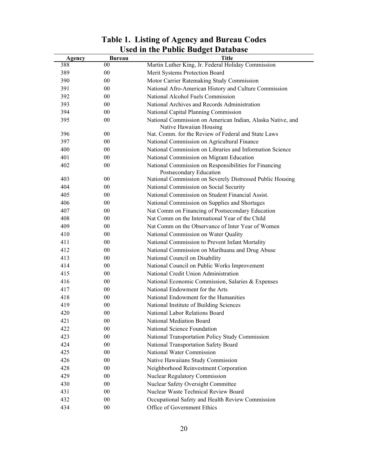| Martin Luther King, Jr. Federal Holiday Commission<br>00<br>388<br>389<br>$00\,$<br>Merit Systems Protection Board<br>390<br>Motor Carrier Ratemaking Study Commission<br>$00\,$<br>391<br>National Afro-American History and Culture Commission<br>$00\,$<br>National Alcohol Fuels Commission<br>392<br>00<br>393<br>00<br>National Archives and Records Administration<br>394<br>00<br>National Capital Planning Commission<br>395<br>00<br>National Commission on American Indian, Alaska Native, and<br>Native Hawaiian Housing<br>Nat. Comm. for the Review of Federal and State Laws<br>396<br>00<br>397<br>$00\,$<br>National Commission on Agricultural Finance<br>400<br>National Commission on Libraries and Information Science<br>$00\,$<br>National Commission on Migrant Education<br>401<br>00<br>402<br>$00\,$<br>National Commission on Responsibilities for Financing<br>Postsecondary Education<br>403<br>$00\,$<br>National Commission on Severely Distressed Public Housing<br>404<br>00<br>National Commission on Social Security<br>405<br>National Commission on Student Financial Assist.<br>00<br>406<br>National Commission on Supplies and Shortages<br>$00\,$<br>407<br>Nat Comm on Financing of Postsecondary Education<br>$00\,$<br>Nat Comm on the International Year of the Child<br>408<br>00<br>00<br>Nat Comm on the Observance of Inter Year of Women<br>409<br>410<br>00<br>National Commission on Water Quality<br>411<br>00<br>National Commission to Prevent Infant Mortality<br>412<br>$00\,$<br>National Commission on Marihuana and Drug Abuse<br>413<br>00<br>National Council on Disability<br>414<br>00<br>National Council on Public Works Improvement<br>415<br>National Credit Union Administration<br>00<br>416<br>National Economic Commission, Salaries & Expenses<br>00<br>National Endowment for the Arts<br>417<br>$00\,$<br>418<br>National Endowment for the Humanities<br>$00\,$<br>419<br>National Institute of Building Sciences<br>00<br>National Labor Relations Board<br>420<br>00<br>421<br>$0 \\ 0$<br>National Mediation Board<br>National Science Foundation<br>422<br>00<br>423<br>$00\,$<br>National Transportation Policy Study Commission<br>424<br>$00\,$<br>National Transportation Safety Board<br>National Water Commission<br>425<br>00<br>426<br>$00\,$<br>Native Hawaiians Study Commission<br>428<br>Neighborhood Reinvestment Corporation<br>00<br>Nuclear Regulatory Commission<br>429<br>00<br>430<br>Nuclear Safety Oversight Committee<br>00<br>Nuclear Waste Technical Review Board<br>431<br>$00\,$ | Agency | <b>Bureau</b> | USU III UIU I UDIIU DUUGU DATADASU<br><b>Title</b> |
|---------------------------------------------------------------------------------------------------------------------------------------------------------------------------------------------------------------------------------------------------------------------------------------------------------------------------------------------------------------------------------------------------------------------------------------------------------------------------------------------------------------------------------------------------------------------------------------------------------------------------------------------------------------------------------------------------------------------------------------------------------------------------------------------------------------------------------------------------------------------------------------------------------------------------------------------------------------------------------------------------------------------------------------------------------------------------------------------------------------------------------------------------------------------------------------------------------------------------------------------------------------------------------------------------------------------------------------------------------------------------------------------------------------------------------------------------------------------------------------------------------------------------------------------------------------------------------------------------------------------------------------------------------------------------------------------------------------------------------------------------------------------------------------------------------------------------------------------------------------------------------------------------------------------------------------------------------------------------------------------------------------------------------------------------------------------------------------------------------------------------------------------------------------------------------------------------------------------------------------------------------------------------------------------------------------------------------------------------------------------------------------------------------------------------------------------------------------------------------------------------------------------------------------------------------------------------------------------|--------|---------------|----------------------------------------------------|
|                                                                                                                                                                                                                                                                                                                                                                                                                                                                                                                                                                                                                                                                                                                                                                                                                                                                                                                                                                                                                                                                                                                                                                                                                                                                                                                                                                                                                                                                                                                                                                                                                                                                                                                                                                                                                                                                                                                                                                                                                                                                                                                                                                                                                                                                                                                                                                                                                                                                                                                                                                                             |        |               |                                                    |
|                                                                                                                                                                                                                                                                                                                                                                                                                                                                                                                                                                                                                                                                                                                                                                                                                                                                                                                                                                                                                                                                                                                                                                                                                                                                                                                                                                                                                                                                                                                                                                                                                                                                                                                                                                                                                                                                                                                                                                                                                                                                                                                                                                                                                                                                                                                                                                                                                                                                                                                                                                                             |        |               |                                                    |
|                                                                                                                                                                                                                                                                                                                                                                                                                                                                                                                                                                                                                                                                                                                                                                                                                                                                                                                                                                                                                                                                                                                                                                                                                                                                                                                                                                                                                                                                                                                                                                                                                                                                                                                                                                                                                                                                                                                                                                                                                                                                                                                                                                                                                                                                                                                                                                                                                                                                                                                                                                                             |        |               |                                                    |
|                                                                                                                                                                                                                                                                                                                                                                                                                                                                                                                                                                                                                                                                                                                                                                                                                                                                                                                                                                                                                                                                                                                                                                                                                                                                                                                                                                                                                                                                                                                                                                                                                                                                                                                                                                                                                                                                                                                                                                                                                                                                                                                                                                                                                                                                                                                                                                                                                                                                                                                                                                                             |        |               |                                                    |
|                                                                                                                                                                                                                                                                                                                                                                                                                                                                                                                                                                                                                                                                                                                                                                                                                                                                                                                                                                                                                                                                                                                                                                                                                                                                                                                                                                                                                                                                                                                                                                                                                                                                                                                                                                                                                                                                                                                                                                                                                                                                                                                                                                                                                                                                                                                                                                                                                                                                                                                                                                                             |        |               |                                                    |
|                                                                                                                                                                                                                                                                                                                                                                                                                                                                                                                                                                                                                                                                                                                                                                                                                                                                                                                                                                                                                                                                                                                                                                                                                                                                                                                                                                                                                                                                                                                                                                                                                                                                                                                                                                                                                                                                                                                                                                                                                                                                                                                                                                                                                                                                                                                                                                                                                                                                                                                                                                                             |        |               |                                                    |
|                                                                                                                                                                                                                                                                                                                                                                                                                                                                                                                                                                                                                                                                                                                                                                                                                                                                                                                                                                                                                                                                                                                                                                                                                                                                                                                                                                                                                                                                                                                                                                                                                                                                                                                                                                                                                                                                                                                                                                                                                                                                                                                                                                                                                                                                                                                                                                                                                                                                                                                                                                                             |        |               |                                                    |
|                                                                                                                                                                                                                                                                                                                                                                                                                                                                                                                                                                                                                                                                                                                                                                                                                                                                                                                                                                                                                                                                                                                                                                                                                                                                                                                                                                                                                                                                                                                                                                                                                                                                                                                                                                                                                                                                                                                                                                                                                                                                                                                                                                                                                                                                                                                                                                                                                                                                                                                                                                                             |        |               |                                                    |
|                                                                                                                                                                                                                                                                                                                                                                                                                                                                                                                                                                                                                                                                                                                                                                                                                                                                                                                                                                                                                                                                                                                                                                                                                                                                                                                                                                                                                                                                                                                                                                                                                                                                                                                                                                                                                                                                                                                                                                                                                                                                                                                                                                                                                                                                                                                                                                                                                                                                                                                                                                                             |        |               |                                                    |
|                                                                                                                                                                                                                                                                                                                                                                                                                                                                                                                                                                                                                                                                                                                                                                                                                                                                                                                                                                                                                                                                                                                                                                                                                                                                                                                                                                                                                                                                                                                                                                                                                                                                                                                                                                                                                                                                                                                                                                                                                                                                                                                                                                                                                                                                                                                                                                                                                                                                                                                                                                                             |        |               |                                                    |
|                                                                                                                                                                                                                                                                                                                                                                                                                                                                                                                                                                                                                                                                                                                                                                                                                                                                                                                                                                                                                                                                                                                                                                                                                                                                                                                                                                                                                                                                                                                                                                                                                                                                                                                                                                                                                                                                                                                                                                                                                                                                                                                                                                                                                                                                                                                                                                                                                                                                                                                                                                                             |        |               |                                                    |
|                                                                                                                                                                                                                                                                                                                                                                                                                                                                                                                                                                                                                                                                                                                                                                                                                                                                                                                                                                                                                                                                                                                                                                                                                                                                                                                                                                                                                                                                                                                                                                                                                                                                                                                                                                                                                                                                                                                                                                                                                                                                                                                                                                                                                                                                                                                                                                                                                                                                                                                                                                                             |        |               |                                                    |
|                                                                                                                                                                                                                                                                                                                                                                                                                                                                                                                                                                                                                                                                                                                                                                                                                                                                                                                                                                                                                                                                                                                                                                                                                                                                                                                                                                                                                                                                                                                                                                                                                                                                                                                                                                                                                                                                                                                                                                                                                                                                                                                                                                                                                                                                                                                                                                                                                                                                                                                                                                                             |        |               |                                                    |
|                                                                                                                                                                                                                                                                                                                                                                                                                                                                                                                                                                                                                                                                                                                                                                                                                                                                                                                                                                                                                                                                                                                                                                                                                                                                                                                                                                                                                                                                                                                                                                                                                                                                                                                                                                                                                                                                                                                                                                                                                                                                                                                                                                                                                                                                                                                                                                                                                                                                                                                                                                                             |        |               |                                                    |
|                                                                                                                                                                                                                                                                                                                                                                                                                                                                                                                                                                                                                                                                                                                                                                                                                                                                                                                                                                                                                                                                                                                                                                                                                                                                                                                                                                                                                                                                                                                                                                                                                                                                                                                                                                                                                                                                                                                                                                                                                                                                                                                                                                                                                                                                                                                                                                                                                                                                                                                                                                                             |        |               |                                                    |
|                                                                                                                                                                                                                                                                                                                                                                                                                                                                                                                                                                                                                                                                                                                                                                                                                                                                                                                                                                                                                                                                                                                                                                                                                                                                                                                                                                                                                                                                                                                                                                                                                                                                                                                                                                                                                                                                                                                                                                                                                                                                                                                                                                                                                                                                                                                                                                                                                                                                                                                                                                                             |        |               |                                                    |
|                                                                                                                                                                                                                                                                                                                                                                                                                                                                                                                                                                                                                                                                                                                                                                                                                                                                                                                                                                                                                                                                                                                                                                                                                                                                                                                                                                                                                                                                                                                                                                                                                                                                                                                                                                                                                                                                                                                                                                                                                                                                                                                                                                                                                                                                                                                                                                                                                                                                                                                                                                                             |        |               |                                                    |
|                                                                                                                                                                                                                                                                                                                                                                                                                                                                                                                                                                                                                                                                                                                                                                                                                                                                                                                                                                                                                                                                                                                                                                                                                                                                                                                                                                                                                                                                                                                                                                                                                                                                                                                                                                                                                                                                                                                                                                                                                                                                                                                                                                                                                                                                                                                                                                                                                                                                                                                                                                                             |        |               |                                                    |
|                                                                                                                                                                                                                                                                                                                                                                                                                                                                                                                                                                                                                                                                                                                                                                                                                                                                                                                                                                                                                                                                                                                                                                                                                                                                                                                                                                                                                                                                                                                                                                                                                                                                                                                                                                                                                                                                                                                                                                                                                                                                                                                                                                                                                                                                                                                                                                                                                                                                                                                                                                                             |        |               |                                                    |
|                                                                                                                                                                                                                                                                                                                                                                                                                                                                                                                                                                                                                                                                                                                                                                                                                                                                                                                                                                                                                                                                                                                                                                                                                                                                                                                                                                                                                                                                                                                                                                                                                                                                                                                                                                                                                                                                                                                                                                                                                                                                                                                                                                                                                                                                                                                                                                                                                                                                                                                                                                                             |        |               |                                                    |
|                                                                                                                                                                                                                                                                                                                                                                                                                                                                                                                                                                                                                                                                                                                                                                                                                                                                                                                                                                                                                                                                                                                                                                                                                                                                                                                                                                                                                                                                                                                                                                                                                                                                                                                                                                                                                                                                                                                                                                                                                                                                                                                                                                                                                                                                                                                                                                                                                                                                                                                                                                                             |        |               |                                                    |
|                                                                                                                                                                                                                                                                                                                                                                                                                                                                                                                                                                                                                                                                                                                                                                                                                                                                                                                                                                                                                                                                                                                                                                                                                                                                                                                                                                                                                                                                                                                                                                                                                                                                                                                                                                                                                                                                                                                                                                                                                                                                                                                                                                                                                                                                                                                                                                                                                                                                                                                                                                                             |        |               |                                                    |
|                                                                                                                                                                                                                                                                                                                                                                                                                                                                                                                                                                                                                                                                                                                                                                                                                                                                                                                                                                                                                                                                                                                                                                                                                                                                                                                                                                                                                                                                                                                                                                                                                                                                                                                                                                                                                                                                                                                                                                                                                                                                                                                                                                                                                                                                                                                                                                                                                                                                                                                                                                                             |        |               |                                                    |
|                                                                                                                                                                                                                                                                                                                                                                                                                                                                                                                                                                                                                                                                                                                                                                                                                                                                                                                                                                                                                                                                                                                                                                                                                                                                                                                                                                                                                                                                                                                                                                                                                                                                                                                                                                                                                                                                                                                                                                                                                                                                                                                                                                                                                                                                                                                                                                                                                                                                                                                                                                                             |        |               |                                                    |
|                                                                                                                                                                                                                                                                                                                                                                                                                                                                                                                                                                                                                                                                                                                                                                                                                                                                                                                                                                                                                                                                                                                                                                                                                                                                                                                                                                                                                                                                                                                                                                                                                                                                                                                                                                                                                                                                                                                                                                                                                                                                                                                                                                                                                                                                                                                                                                                                                                                                                                                                                                                             |        |               |                                                    |
|                                                                                                                                                                                                                                                                                                                                                                                                                                                                                                                                                                                                                                                                                                                                                                                                                                                                                                                                                                                                                                                                                                                                                                                                                                                                                                                                                                                                                                                                                                                                                                                                                                                                                                                                                                                                                                                                                                                                                                                                                                                                                                                                                                                                                                                                                                                                                                                                                                                                                                                                                                                             |        |               |                                                    |
|                                                                                                                                                                                                                                                                                                                                                                                                                                                                                                                                                                                                                                                                                                                                                                                                                                                                                                                                                                                                                                                                                                                                                                                                                                                                                                                                                                                                                                                                                                                                                                                                                                                                                                                                                                                                                                                                                                                                                                                                                                                                                                                                                                                                                                                                                                                                                                                                                                                                                                                                                                                             |        |               |                                                    |
|                                                                                                                                                                                                                                                                                                                                                                                                                                                                                                                                                                                                                                                                                                                                                                                                                                                                                                                                                                                                                                                                                                                                                                                                                                                                                                                                                                                                                                                                                                                                                                                                                                                                                                                                                                                                                                                                                                                                                                                                                                                                                                                                                                                                                                                                                                                                                                                                                                                                                                                                                                                             |        |               |                                                    |
|                                                                                                                                                                                                                                                                                                                                                                                                                                                                                                                                                                                                                                                                                                                                                                                                                                                                                                                                                                                                                                                                                                                                                                                                                                                                                                                                                                                                                                                                                                                                                                                                                                                                                                                                                                                                                                                                                                                                                                                                                                                                                                                                                                                                                                                                                                                                                                                                                                                                                                                                                                                             |        |               |                                                    |
|                                                                                                                                                                                                                                                                                                                                                                                                                                                                                                                                                                                                                                                                                                                                                                                                                                                                                                                                                                                                                                                                                                                                                                                                                                                                                                                                                                                                                                                                                                                                                                                                                                                                                                                                                                                                                                                                                                                                                                                                                                                                                                                                                                                                                                                                                                                                                                                                                                                                                                                                                                                             |        |               |                                                    |
|                                                                                                                                                                                                                                                                                                                                                                                                                                                                                                                                                                                                                                                                                                                                                                                                                                                                                                                                                                                                                                                                                                                                                                                                                                                                                                                                                                                                                                                                                                                                                                                                                                                                                                                                                                                                                                                                                                                                                                                                                                                                                                                                                                                                                                                                                                                                                                                                                                                                                                                                                                                             |        |               |                                                    |
|                                                                                                                                                                                                                                                                                                                                                                                                                                                                                                                                                                                                                                                                                                                                                                                                                                                                                                                                                                                                                                                                                                                                                                                                                                                                                                                                                                                                                                                                                                                                                                                                                                                                                                                                                                                                                                                                                                                                                                                                                                                                                                                                                                                                                                                                                                                                                                                                                                                                                                                                                                                             |        |               |                                                    |
|                                                                                                                                                                                                                                                                                                                                                                                                                                                                                                                                                                                                                                                                                                                                                                                                                                                                                                                                                                                                                                                                                                                                                                                                                                                                                                                                                                                                                                                                                                                                                                                                                                                                                                                                                                                                                                                                                                                                                                                                                                                                                                                                                                                                                                                                                                                                                                                                                                                                                                                                                                                             |        |               |                                                    |
|                                                                                                                                                                                                                                                                                                                                                                                                                                                                                                                                                                                                                                                                                                                                                                                                                                                                                                                                                                                                                                                                                                                                                                                                                                                                                                                                                                                                                                                                                                                                                                                                                                                                                                                                                                                                                                                                                                                                                                                                                                                                                                                                                                                                                                                                                                                                                                                                                                                                                                                                                                                             |        |               |                                                    |
|                                                                                                                                                                                                                                                                                                                                                                                                                                                                                                                                                                                                                                                                                                                                                                                                                                                                                                                                                                                                                                                                                                                                                                                                                                                                                                                                                                                                                                                                                                                                                                                                                                                                                                                                                                                                                                                                                                                                                                                                                                                                                                                                                                                                                                                                                                                                                                                                                                                                                                                                                                                             |        |               |                                                    |
|                                                                                                                                                                                                                                                                                                                                                                                                                                                                                                                                                                                                                                                                                                                                                                                                                                                                                                                                                                                                                                                                                                                                                                                                                                                                                                                                                                                                                                                                                                                                                                                                                                                                                                                                                                                                                                                                                                                                                                                                                                                                                                                                                                                                                                                                                                                                                                                                                                                                                                                                                                                             |        |               |                                                    |
|                                                                                                                                                                                                                                                                                                                                                                                                                                                                                                                                                                                                                                                                                                                                                                                                                                                                                                                                                                                                                                                                                                                                                                                                                                                                                                                                                                                                                                                                                                                                                                                                                                                                                                                                                                                                                                                                                                                                                                                                                                                                                                                                                                                                                                                                                                                                                                                                                                                                                                                                                                                             |        |               |                                                    |
|                                                                                                                                                                                                                                                                                                                                                                                                                                                                                                                                                                                                                                                                                                                                                                                                                                                                                                                                                                                                                                                                                                                                                                                                                                                                                                                                                                                                                                                                                                                                                                                                                                                                                                                                                                                                                                                                                                                                                                                                                                                                                                                                                                                                                                                                                                                                                                                                                                                                                                                                                                                             |        |               |                                                    |
|                                                                                                                                                                                                                                                                                                                                                                                                                                                                                                                                                                                                                                                                                                                                                                                                                                                                                                                                                                                                                                                                                                                                                                                                                                                                                                                                                                                                                                                                                                                                                                                                                                                                                                                                                                                                                                                                                                                                                                                                                                                                                                                                                                                                                                                                                                                                                                                                                                                                                                                                                                                             |        |               |                                                    |
|                                                                                                                                                                                                                                                                                                                                                                                                                                                                                                                                                                                                                                                                                                                                                                                                                                                                                                                                                                                                                                                                                                                                                                                                                                                                                                                                                                                                                                                                                                                                                                                                                                                                                                                                                                                                                                                                                                                                                                                                                                                                                                                                                                                                                                                                                                                                                                                                                                                                                                                                                                                             |        |               |                                                    |
|                                                                                                                                                                                                                                                                                                                                                                                                                                                                                                                                                                                                                                                                                                                                                                                                                                                                                                                                                                                                                                                                                                                                                                                                                                                                                                                                                                                                                                                                                                                                                                                                                                                                                                                                                                                                                                                                                                                                                                                                                                                                                                                                                                                                                                                                                                                                                                                                                                                                                                                                                                                             |        |               |                                                    |
| 432<br>Occupational Safety and Health Review Commission<br>00                                                                                                                                                                                                                                                                                                                                                                                                                                                                                                                                                                                                                                                                                                                                                                                                                                                                                                                                                                                                                                                                                                                                                                                                                                                                                                                                                                                                                                                                                                                                                                                                                                                                                                                                                                                                                                                                                                                                                                                                                                                                                                                                                                                                                                                                                                                                                                                                                                                                                                                               |        |               |                                                    |
| Office of Government Ethics<br>434<br>$00\,$                                                                                                                                                                                                                                                                                                                                                                                                                                                                                                                                                                                                                                                                                                                                                                                                                                                                                                                                                                                                                                                                                                                                                                                                                                                                                                                                                                                                                                                                                                                                                                                                                                                                                                                                                                                                                                                                                                                                                                                                                                                                                                                                                                                                                                                                                                                                                                                                                                                                                                                                                |        |               |                                                    |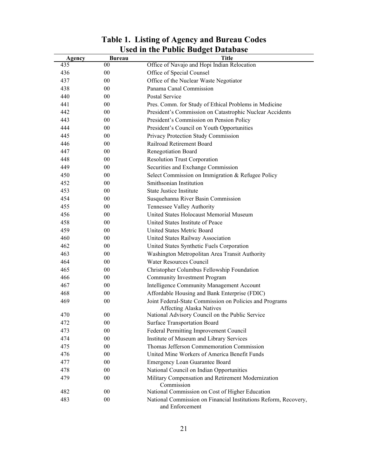| Agency | <b>Bureau</b> | <b>Title</b>                                                                        |
|--------|---------------|-------------------------------------------------------------------------------------|
| 435    | 00            | Office of Navajo and Hopi Indian Relocation                                         |
| 436    | $00\,$        | Office of Special Counsel                                                           |
| 437    | $00\,$        | Office of the Nuclear Waste Negotiator                                              |
| 438    | $00\,$        | Panama Canal Commission                                                             |
| 440    | $00\,$        | Postal Service                                                                      |
| 441    | 00            | Pres. Comm. for Study of Ethical Problems in Medicine                               |
| 442    | 00            | President's Commission on Catastrophic Nuclear Accidents                            |
| 443    | 00            | President's Commission on Pension Policy                                            |
| 444    | 00            | President's Council on Youth Opportunities                                          |
| 445    | $00\,$        | Privacy Protection Study Commission                                                 |
| 446    | 00            | Railroad Retirement Board                                                           |
| 447    | 00            | Renegotiation Board                                                                 |
| 448    | 00            | <b>Resolution Trust Corporation</b>                                                 |
| 449    | 00            | Securities and Exchange Commission                                                  |
| 450    | 00            | Select Commission on Immigration & Refugee Policy                                   |
| 452    | $00\,$        | Smithsonian Institution                                                             |
| 453    | 00            | <b>State Justice Institute</b>                                                      |
| 454    | 00            | Susquehanna River Basin Commission                                                  |
| 455    | 00            | Tennessee Valley Authority                                                          |
| 456    | 00            | United States Holocaust Memorial Museum                                             |
| 458    | $00\,$        | United States Institute of Peace                                                    |
| 459    | 00            | United States Metric Board                                                          |
| 460    | $00\,$        | United States Railway Association                                                   |
| 462    | 00            | United States Synthetic Fuels Corporation                                           |
| 463    | 00            | Washington Metropolitan Area Transit Authority                                      |
| 464    | 00            | <b>Water Resources Council</b>                                                      |
| 465    | 00            | Christopher Columbus Fellowship Foundation                                          |
| 466    | 00            | <b>Community Investment Program</b>                                                 |
| 467    | 00            | Intelligence Community Management Account                                           |
| 468    | 00            | Affordable Housing and Bank Enterprise (FDIC)                                       |
| 469    | 00            | Joint Federal-State Commission on Policies and Programs<br>Affecting Alaska Natives |
| 470    | 00            | National Advisory Council on the Public Service                                     |
| 472    | $00\,$        | <b>Surface Transportation Board</b>                                                 |
| 473    | $00\,$        | Federal Permitting Improvement Council                                              |
| 474    | $00\,$        | Institute of Museum and Library Services                                            |
| 475    | $00\,$        | Thomas Jefferson Commemoration Commission                                           |
| 476    | $00\,$        | United Mine Workers of America Benefit Funds                                        |
| 477    | $00\,$        | Emergency Loan Guarantee Board                                                      |
| 478    | $00\,$        | National Council on Indian Opportunities                                            |
| 479    | 00            | Military Compensation and Retirement Modernization<br>Commission                    |
| 482    | $00\,$        | National Commission on Cost of Higher Education                                     |
| 483    | $00\,$        | National Commission on Financial Institutions Reform, Recovery,<br>and Enforcement  |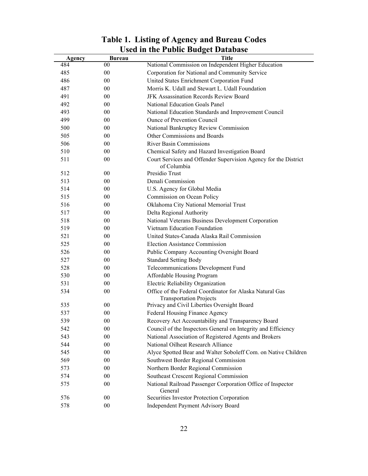|        |                  | USEU III LIIE I UDIIU DUUPEL DALADASE                                          |
|--------|------------------|--------------------------------------------------------------------------------|
| Agency | Bureau<br>$00\,$ | Title                                                                          |
| 484    |                  | National Commission on Independent Higher Education                            |
| 485    | 00               | Corporation for National and Community Service                                 |
| 486    | $00\,$           | United States Enrichment Corporation Fund                                      |
| 487    | 00               | Morris K. Udall and Stewart L. Udall Foundation                                |
| 491    | $00\,$           | JFK Assassination Records Review Board                                         |
| 492    | $00\,$           | National Education Goals Panel                                                 |
| 493    | 00               | National Education Standards and Improvement Council                           |
| 499    | 00               | <b>Ounce of Prevention Council</b>                                             |
| 500    | $00\,$           | National Bankruptcy Review Commission                                          |
| 505    | 00               | Other Commissions and Boards                                                   |
| 506    | 00               | <b>River Basin Commissions</b>                                                 |
| 510    | 00               | Chemical Safety and Hazard Investigation Board                                 |
| 511    | 00               | Court Services and Offender Supervision Agency for the District<br>of Columbia |
| 512    | 00               | Presidio Trust                                                                 |
| 513    | 00               | Denali Commission                                                              |
| 514    | $00\,$           | U.S. Agency for Global Media                                                   |
| 515    | 00               | Commission on Ocean Policy                                                     |
| 516    | $00\,$           | Oklahoma City National Memorial Trust                                          |
| 517    | 00               | Delta Regional Authority                                                       |
| 518    | 00               | National Veterans Business Development Corporation                             |
| 519    | 00               | Vietnam Education Foundation                                                   |
| 521    | $00\,$           | United States-Canada Alaska Rail Commission                                    |
| 525    | 00               | <b>Election Assistance Commission</b>                                          |
| 526    | 00               | Public Company Accounting Oversight Board                                      |
| 527    | 00               | <b>Standard Setting Body</b>                                                   |
| 528    | 00               | Telecommunications Development Fund                                            |
| 530    | 00               | Affordable Housing Program                                                     |
| 531    | 00               | Electric Reliability Organization                                              |
| 534    | $00\,$           | Office of the Federal Coordinator for Alaska Natural Gas                       |
|        |                  | <b>Transportation Projects</b>                                                 |
| 535    | 00               | Privacy and Civil Liberties Oversight Board                                    |
| 537    | 00               | Federal Housing Finance Agency                                                 |
| 539    | $00\,$           | Recovery Act Accountability and Transparency Board                             |
| 542    | 00               | Council of the Inspectors General on Integrity and Efficiency                  |
| 543    | 00               | National Association of Registered Agents and Brokers                          |
| 544    | $00\,$           | National Oilheat Research Alliance                                             |
| 545    | 00               | Alyce Spotted Bear and Walter Soboleff Com. on Native Children                 |
| 569    | 00               | Southwest Border Regional Commission                                           |
| 573    | 00               | Northern Border Regional Commission                                            |
| 574    | 00               | Southeast Crescent Regional Commission                                         |
| 575    | 00               | National Railroad Passenger Corporation Office of Inspector                    |
|        |                  | General                                                                        |
| 576    | 00               | Securities Investor Protection Corporation                                     |
| 578    | $00\,$           | Independent Payment Advisory Board                                             |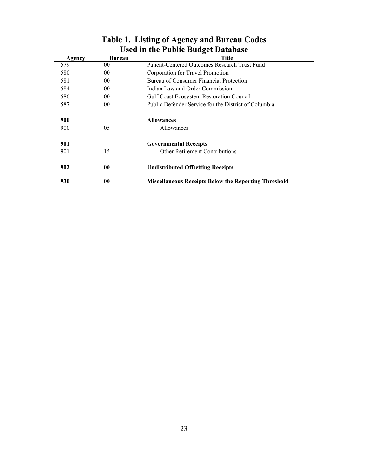|        |                 | USUA III UIU 1 ADIIU DAAGU DATADASU<br><b>Title</b>         |
|--------|-----------------|-------------------------------------------------------------|
| Agency | Bureau          |                                                             |
| 579    | 00              | Patient-Centered Outcomes Research Trust Fund               |
| 580    | 00              | Corporation for Travel Promotion                            |
| 581    | 00              | Bureau of Consumer Financial Protection                     |
| 584    | 00              | Indian Law and Order Commission                             |
| 586    | 00 <sup>°</sup> | <b>Gulf Coast Ecosystem Restoration Council</b>             |
| 587    | 00              | Public Defender Service for the District of Columbia        |
| 900    |                 | <b>Allowances</b>                                           |
| 900    | 05              | Allowances                                                  |
| 901    |                 | <b>Governmental Receipts</b>                                |
| 901    | 15              | <b>Other Retirement Contributions</b>                       |
| 902    | 00              | <b>Undistributed Offsetting Receipts</b>                    |
| 930    | 00              | <b>Miscellaneous Receipts Below the Reporting Threshold</b> |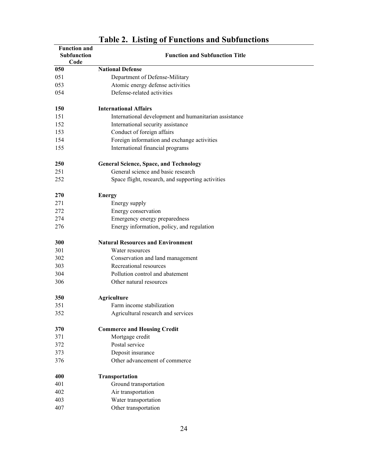<span id="page-25-0"></span>

|     | <b>Function and</b><br>Subfunction<br>Code | <b>Function and Subfunction Title</b>                 |  |
|-----|--------------------------------------------|-------------------------------------------------------|--|
| 050 |                                            | <b>National Defense</b>                               |  |
| 051 |                                            | Department of Defense-Military                        |  |
| 053 |                                            | Atomic energy defense activities                      |  |
| 054 |                                            | Defense-related activities                            |  |
|     |                                            |                                                       |  |
| 150 |                                            | <b>International Affairs</b>                          |  |
| 151 |                                            | International development and humanitarian assistance |  |
| 152 |                                            | International security assistance                     |  |
| 153 |                                            | Conduct of foreign affairs                            |  |
| 154 |                                            | Foreign information and exchange activities           |  |
| 155 |                                            | International financial programs                      |  |
| 250 |                                            | <b>General Science, Space, and Technology</b>         |  |
| 251 |                                            | General science and basic research                    |  |
| 252 |                                            | Space flight, research, and supporting activities     |  |
| 270 |                                            | <b>Energy</b>                                         |  |
| 271 |                                            | Energy supply                                         |  |
| 272 |                                            | Energy conservation                                   |  |
| 274 |                                            | Emergency energy preparedness                         |  |
| 276 |                                            | Energy information, policy, and regulation            |  |
| 300 |                                            | <b>Natural Resources and Environment</b>              |  |
| 301 |                                            | Water resources                                       |  |
| 302 |                                            | Conservation and land management                      |  |
| 303 |                                            | Recreational resources                                |  |
| 304 |                                            | Pollution control and abatement                       |  |
| 306 |                                            | Other natural resources                               |  |
| 350 |                                            | <b>Agriculture</b>                                    |  |
| 351 |                                            | Farm income stabilization                             |  |
| 352 |                                            | Agricultural research and services                    |  |
| 370 |                                            | <b>Commerce and Housing Credit</b>                    |  |
| 371 |                                            | Mortgage credit                                       |  |
| 372 |                                            | Postal service                                        |  |
| 373 |                                            | Deposit insurance                                     |  |
| 376 |                                            | Other advancement of commerce                         |  |
| 400 |                                            | Transportation                                        |  |
| 401 |                                            | Ground transportation                                 |  |
| 402 |                                            | Air transportation                                    |  |
| 403 |                                            | Water transportation                                  |  |
| 407 |                                            | Other transportation                                  |  |

#### **Table 2. Listing of Functions and Subfunctions**

L,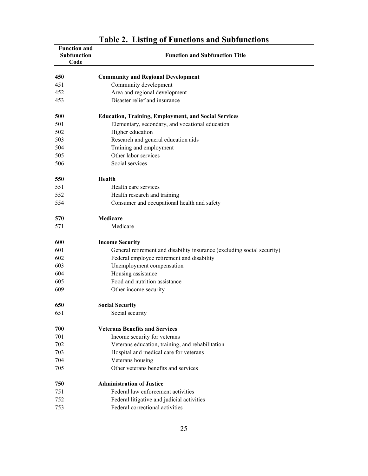| <b>Function and</b><br>Subfunction<br>Code | $1000 - 2000 = 1$<br>of I unchons and subfunctions<br><b>Function and Subfunction Title</b> |
|--------------------------------------------|---------------------------------------------------------------------------------------------|
| 450                                        | <b>Community and Regional Development</b>                                                   |
| 451                                        | Community development                                                                       |
| 452                                        | Area and regional development                                                               |
| 453                                        | Disaster relief and insurance                                                               |
| 500                                        | <b>Education, Training, Employment, and Social Services</b>                                 |
| 501                                        | Elementary, secondary, and vocational education                                             |
| 502                                        | Higher education                                                                            |
| 503                                        | Research and general education aids                                                         |
| 504                                        | Training and employment                                                                     |
| 505                                        | Other labor services                                                                        |
| 506                                        | Social services                                                                             |
| 550                                        | Health                                                                                      |
| 551                                        | Health care services                                                                        |
| 552                                        | Health research and training                                                                |
| 554                                        | Consumer and occupational health and safety                                                 |
| 570                                        | Medicare                                                                                    |
| 571                                        | Medicare                                                                                    |
| 600                                        | <b>Income Security</b>                                                                      |
| 601                                        | General retirement and disability insurance (excluding social security)                     |
| 602                                        | Federal employee retirement and disability                                                  |
| 603                                        | Unemployment compensation                                                                   |
| 604                                        | Housing assistance                                                                          |
| 605                                        | Food and nutrition assistance                                                               |
| 609                                        | Other income security                                                                       |
| 650                                        | <b>Social Security</b>                                                                      |
| 651                                        | Social security                                                                             |
| 700                                        | <b>Veterans Benefits and Services</b>                                                       |
| 701                                        | Income security for veterans                                                                |
| 702                                        | Veterans education, training, and rehabilitation                                            |
| 703                                        | Hospital and medical care for veterans                                                      |
| 704                                        | Veterans housing                                                                            |
| 705                                        | Other veterans benefits and services                                                        |
| 750                                        | <b>Administration of Justice</b>                                                            |
| 751                                        | Federal law enforcement activities                                                          |
| 752                                        | Federal litigative and judicial activities                                                  |
| 753                                        | Federal correctional activities                                                             |

# **Table 2. Listing of Functions and Subfunctions**

 $\overline{\phantom{a}}$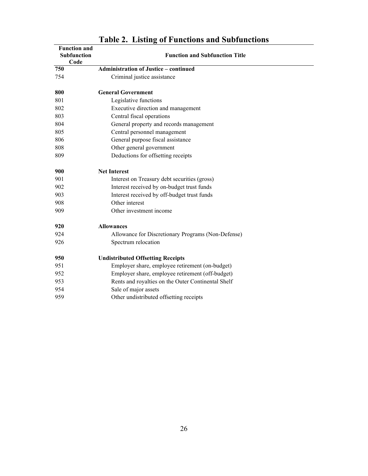| <b>Function and</b><br><b>Subfunction</b> | <b>Function and Subfunction Title</b>              |
|-------------------------------------------|----------------------------------------------------|
| Code                                      |                                                    |
| 750                                       | <b>Administration of Justice - continued</b>       |
| 754                                       | Criminal justice assistance                        |
| 800                                       | <b>General Government</b>                          |
| 801                                       | Legislative functions                              |
| 802                                       | Executive direction and management                 |
| 803                                       | Central fiscal operations                          |
| 804                                       | General property and records management            |
| 805                                       | Central personnel management                       |
| 806                                       | General purpose fiscal assistance                  |
| 808                                       | Other general government                           |
| 809                                       | Deductions for offsetting receipts                 |
| 900                                       | <b>Net Interest</b>                                |
| 901                                       | Interest on Treasury debt securities (gross)       |
| 902                                       | Interest received by on-budget trust funds         |
| 903                                       | Interest received by off-budget trust funds        |
| 908                                       | Other interest                                     |
| 909                                       | Other investment income                            |
| 920                                       | <b>Allowances</b>                                  |
| 924                                       | Allowance for Discretionary Programs (Non-Defense) |
| 926                                       | Spectrum relocation                                |
| 950                                       | <b>Undistributed Offsetting Receipts</b>           |
| 951                                       | Employer share, employee retirement (on-budget)    |
| 952                                       | Employer share, employee retirement (off-budget)   |
| 953                                       | Rents and royalties on the Outer Continental Shelf |
| 954                                       | Sale of major assets                               |
| 959                                       | Other undistributed offsetting receipts            |

#### **Table 2. Listing of Functions and Subfunctions**